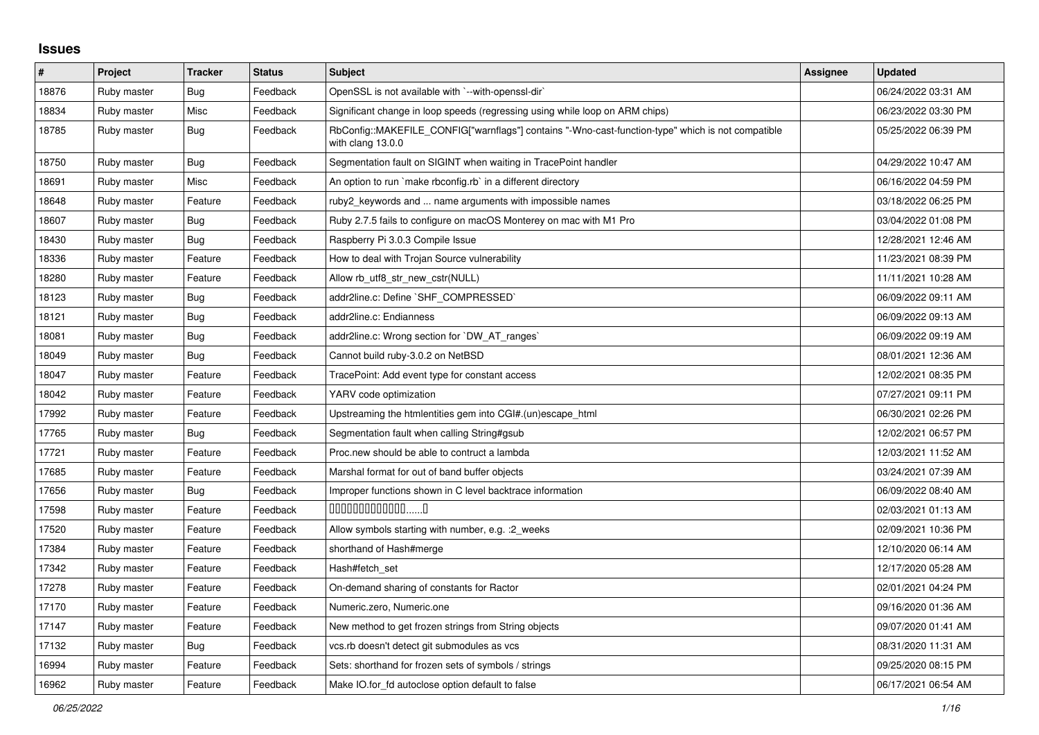## **Issues**

| $\pmb{\sharp}$ | Project     | <b>Tracker</b> | <b>Status</b> | <b>Subject</b>                                                                                                         | Assignee | <b>Updated</b>      |
|----------------|-------------|----------------|---------------|------------------------------------------------------------------------------------------------------------------------|----------|---------------------|
| 18876          | Ruby master | Bug            | Feedback      | OpenSSL is not available with `--with-openssl-dir`                                                                     |          | 06/24/2022 03:31 AM |
| 18834          | Ruby master | Misc           | Feedback      | Significant change in loop speeds (regressing using while loop on ARM chips)                                           |          | 06/23/2022 03:30 PM |
| 18785          | Ruby master | Bug            | Feedback      | RbConfig::MAKEFILE_CONFIG["warnflags"] contains "-Wno-cast-function-type" which is not compatible<br>with clang 13.0.0 |          | 05/25/2022 06:39 PM |
| 18750          | Ruby master | Bug            | Feedback      | Segmentation fault on SIGINT when waiting in TracePoint handler                                                        |          | 04/29/2022 10:47 AM |
| 18691          | Ruby master | Misc           | Feedback      | An option to run `make rbconfig.rb` in a different directory                                                           |          | 06/16/2022 04:59 PM |
| 18648          | Ruby master | Feature        | Feedback      | ruby2_keywords and  name arguments with impossible names                                                               |          | 03/18/2022 06:25 PM |
| 18607          | Ruby master | <b>Bug</b>     | Feedback      | Ruby 2.7.5 fails to configure on macOS Monterey on mac with M1 Pro                                                     |          | 03/04/2022 01:08 PM |
| 18430          | Ruby master | <b>Bug</b>     | Feedback      | Raspberry Pi 3.0.3 Compile Issue                                                                                       |          | 12/28/2021 12:46 AM |
| 18336          | Ruby master | Feature        | Feedback      | How to deal with Trojan Source vulnerability                                                                           |          | 11/23/2021 08:39 PM |
| 18280          | Ruby master | Feature        | Feedback      | Allow rb_utf8_str_new_cstr(NULL)                                                                                       |          | 11/11/2021 10:28 AM |
| 18123          | Ruby master | <b>Bug</b>     | Feedback      | addr2line.c: Define `SHF_COMPRESSED`                                                                                   |          | 06/09/2022 09:11 AM |
| 18121          | Ruby master | <b>Bug</b>     | Feedback      | addr2line.c: Endianness                                                                                                |          | 06/09/2022 09:13 AM |
| 18081          | Ruby master | <b>Bug</b>     | Feedback      | addr2line.c: Wrong section for `DW_AT_ranges`                                                                          |          | 06/09/2022 09:19 AM |
| 18049          | Ruby master | Bug            | Feedback      | Cannot build ruby-3.0.2 on NetBSD                                                                                      |          | 08/01/2021 12:36 AM |
| 18047          | Ruby master | Feature        | Feedback      | TracePoint: Add event type for constant access                                                                         |          | 12/02/2021 08:35 PM |
| 18042          | Ruby master | Feature        | Feedback      | YARV code optimization                                                                                                 |          | 07/27/2021 09:11 PM |
| 17992          | Ruby master | Feature        | Feedback      | Upstreaming the htmlentities gem into CGI#.(un)escape html                                                             |          | 06/30/2021 02:26 PM |
| 17765          | Ruby master | Bug            | Feedback      | Segmentation fault when calling String#gsub                                                                            |          | 12/02/2021 06:57 PM |
| 17721          | Ruby master | Feature        | Feedback      | Proc.new should be able to contruct a lambda                                                                           |          | 12/03/2021 11:52 AM |
| 17685          | Ruby master | Feature        | Feedback      | Marshal format for out of band buffer objects                                                                          |          | 03/24/2021 07:39 AM |
| 17656          | Ruby master | Bug            | Feedback      | Improper functions shown in C level backtrace information                                                              |          | 06/09/2022 08:40 AM |
| 17598          | Ruby master | Feature        | Feedback      | $0000000000000010$                                                                                                     |          | 02/03/2021 01:13 AM |
| 17520          | Ruby master | Feature        | Feedback      | Allow symbols starting with number, e.g. : 2_weeks                                                                     |          | 02/09/2021 10:36 PM |
| 17384          | Ruby master | Feature        | Feedback      | shorthand of Hash#merge                                                                                                |          | 12/10/2020 06:14 AM |
| 17342          | Ruby master | Feature        | Feedback      | Hash#fetch set                                                                                                         |          | 12/17/2020 05:28 AM |
| 17278          | Ruby master | Feature        | Feedback      | On-demand sharing of constants for Ractor                                                                              |          | 02/01/2021 04:24 PM |
| 17170          | Ruby master | Feature        | Feedback      | Numeric.zero, Numeric.one                                                                                              |          | 09/16/2020 01:36 AM |
| 17147          | Ruby master | Feature        | Feedback      | New method to get frozen strings from String objects                                                                   |          | 09/07/2020 01:41 AM |
| 17132          | Ruby master | <b>Bug</b>     | Feedback      | vcs.rb doesn't detect git submodules as vcs                                                                            |          | 08/31/2020 11:31 AM |
| 16994          | Ruby master | Feature        | Feedback      | Sets: shorthand for frozen sets of symbols / strings                                                                   |          | 09/25/2020 08:15 PM |
| 16962          | Ruby master | Feature        | Feedback      | Make IO.for fd autoclose option default to false                                                                       |          | 06/17/2021 06:54 AM |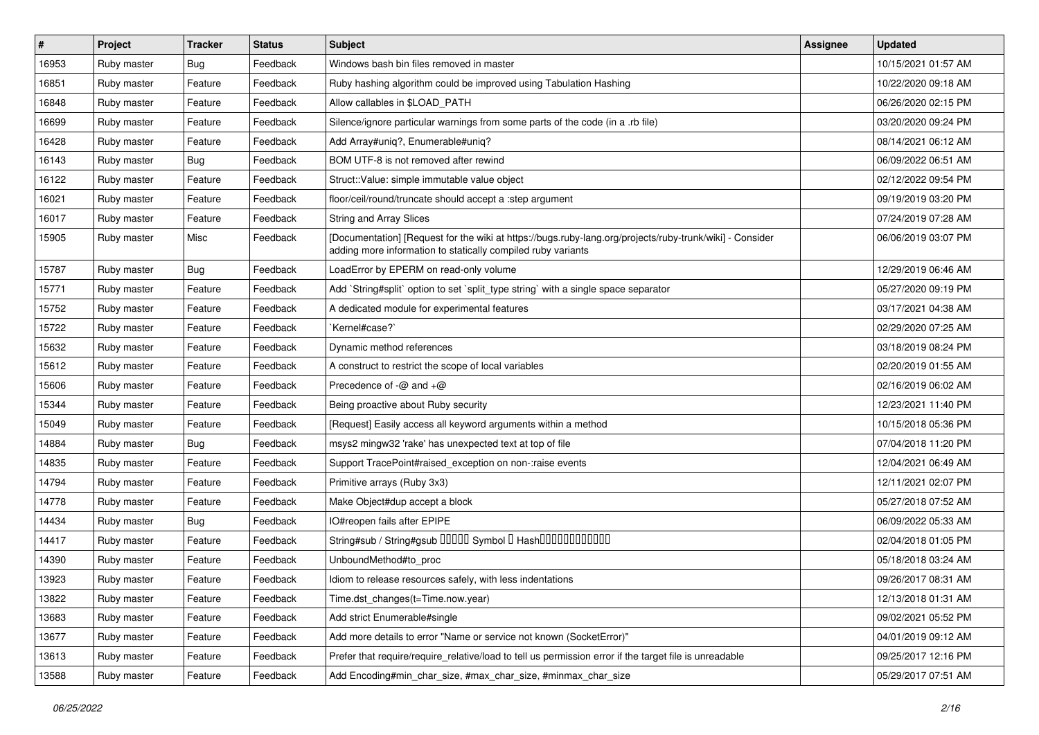| #     | Project     | <b>Tracker</b> | <b>Status</b> | <b>Subject</b>                                                                                                                                                           | Assignee | <b>Updated</b>      |
|-------|-------------|----------------|---------------|--------------------------------------------------------------------------------------------------------------------------------------------------------------------------|----------|---------------------|
| 16953 | Ruby master | <b>Bug</b>     | Feedback      | Windows bash bin files removed in master                                                                                                                                 |          | 10/15/2021 01:57 AM |
| 16851 | Ruby master | Feature        | Feedback      | Ruby hashing algorithm could be improved using Tabulation Hashing                                                                                                        |          | 10/22/2020 09:18 AM |
| 16848 | Ruby master | Feature        | Feedback      | Allow callables in \$LOAD_PATH                                                                                                                                           |          | 06/26/2020 02:15 PM |
| 16699 | Ruby master | Feature        | Feedback      | Silence/ignore particular warnings from some parts of the code (in a .rb file)                                                                                           |          | 03/20/2020 09:24 PM |
| 16428 | Ruby master | Feature        | Feedback      | Add Array#uniq?, Enumerable#uniq?                                                                                                                                        |          | 08/14/2021 06:12 AM |
| 16143 | Ruby master | Bug            | Feedback      | BOM UTF-8 is not removed after rewind                                                                                                                                    |          | 06/09/2022 06:51 AM |
| 16122 | Ruby master | Feature        | Feedback      | Struct::Value: simple immutable value object                                                                                                                             |          | 02/12/2022 09:54 PM |
| 16021 | Ruby master | Feature        | Feedback      | floor/ceil/round/truncate should accept a :step argument                                                                                                                 |          | 09/19/2019 03:20 PM |
| 16017 | Ruby master | Feature        | Feedback      | <b>String and Array Slices</b>                                                                                                                                           |          | 07/24/2019 07:28 AM |
| 15905 | Ruby master | Misc           | Feedback      | [Documentation] [Request for the wiki at https://bugs.ruby-lang.org/projects/ruby-trunk/wiki] - Consider<br>adding more information to statically compiled ruby variants |          | 06/06/2019 03:07 PM |
| 15787 | Ruby master | <b>Bug</b>     | Feedback      | LoadError by EPERM on read-only volume                                                                                                                                   |          | 12/29/2019 06:46 AM |
| 15771 | Ruby master | Feature        | Feedback      | Add `String#split` option to set `split_type string` with a single space separator                                                                                       |          | 05/27/2020 09:19 PM |
| 15752 | Ruby master | Feature        | Feedback      | A dedicated module for experimental features                                                                                                                             |          | 03/17/2021 04:38 AM |
| 15722 | Ruby master | Feature        | Feedback      | `Kernel#case?`                                                                                                                                                           |          | 02/29/2020 07:25 AM |
| 15632 | Ruby master | Feature        | Feedback      | Dynamic method references                                                                                                                                                |          | 03/18/2019 08:24 PM |
| 15612 | Ruby master | Feature        | Feedback      | A construct to restrict the scope of local variables                                                                                                                     |          | 02/20/2019 01:55 AM |
| 15606 | Ruby master | Feature        | Feedback      | Precedence of $-\omega$ and $+\omega$                                                                                                                                    |          | 02/16/2019 06:02 AM |
| 15344 | Ruby master | Feature        | Feedback      | Being proactive about Ruby security                                                                                                                                      |          | 12/23/2021 11:40 PM |
| 15049 | Ruby master | Feature        | Feedback      | [Request] Easily access all keyword arguments within a method                                                                                                            |          | 10/15/2018 05:36 PM |
| 14884 | Ruby master | Bug            | Feedback      | msys2 mingw32 'rake' has unexpected text at top of file                                                                                                                  |          | 07/04/2018 11:20 PM |
| 14835 | Ruby master | Feature        | Feedback      | Support TracePoint#raised_exception on non-:raise events                                                                                                                 |          | 12/04/2021 06:49 AM |
| 14794 | Ruby master | Feature        | Feedback      | Primitive arrays (Ruby 3x3)                                                                                                                                              |          | 12/11/2021 02:07 PM |
| 14778 | Ruby master | Feature        | Feedback      | Make Object#dup accept a block                                                                                                                                           |          | 05/27/2018 07:52 AM |
| 14434 | Ruby master | <b>Bug</b>     | Feedback      | IO#reopen fails after EPIPE                                                                                                                                              |          | 06/09/2022 05:33 AM |
| 14417 | Ruby master | Feature        | Feedback      | String#sub / String#gsub 00000 Symbol 0 Hash000000000000                                                                                                                 |          | 02/04/2018 01:05 PM |
| 14390 | Ruby master | Feature        | Feedback      | UnboundMethod#to_proc                                                                                                                                                    |          | 05/18/2018 03:24 AM |
| 13923 | Ruby master | Feature        | Feedback      | Idiom to release resources safely, with less indentations                                                                                                                |          | 09/26/2017 08:31 AM |
| 13822 | Ruby master | Feature        | Feedback      | Time.dst_changes(t=Time.now.year)                                                                                                                                        |          | 12/13/2018 01:31 AM |
| 13683 | Ruby master | Feature        | Feedback      | Add strict Enumerable#single                                                                                                                                             |          | 09/02/2021 05:52 PM |
| 13677 | Ruby master | Feature        | Feedback      | Add more details to error "Name or service not known (SocketError)"                                                                                                      |          | 04/01/2019 09:12 AM |
| 13613 | Ruby master | Feature        | Feedback      | Prefer that require/require_relative/load to tell us permission error if the target file is unreadable                                                                   |          | 09/25/2017 12:16 PM |
| 13588 | Ruby master | Feature        | Feedback      | Add Encoding#min_char_size, #max_char_size, #minmax_char_size                                                                                                            |          | 05/29/2017 07:51 AM |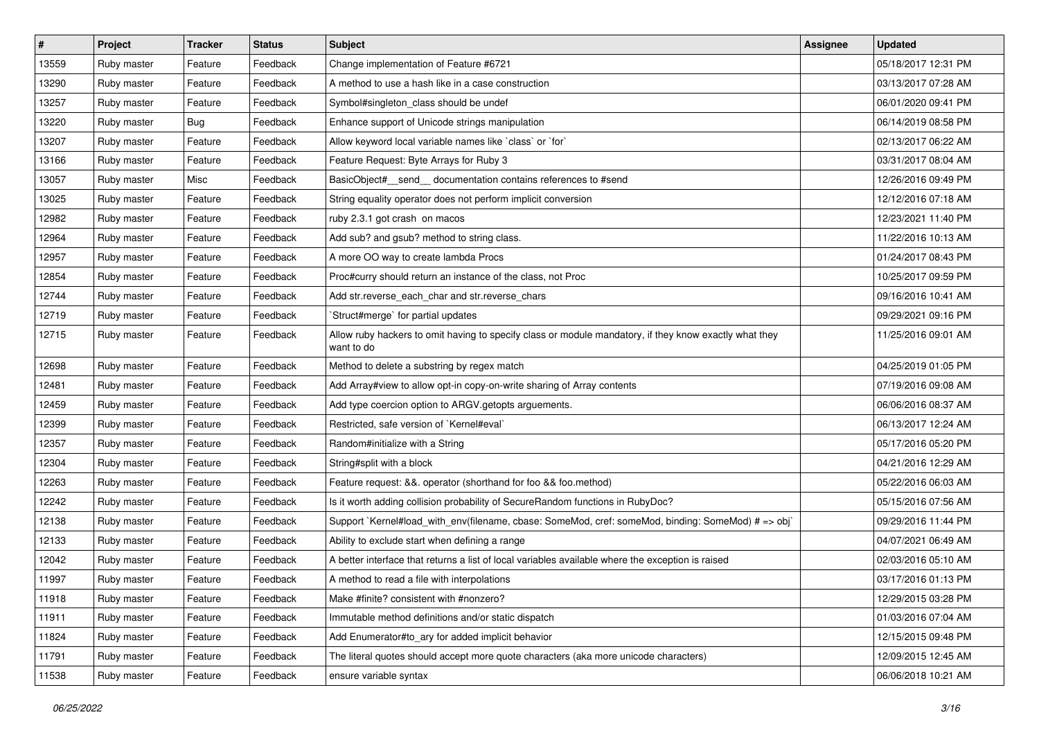| $\sharp$ | Project     | <b>Tracker</b> | <b>Status</b> | <b>Subject</b>                                                                                                       | <b>Assignee</b> | <b>Updated</b>      |
|----------|-------------|----------------|---------------|----------------------------------------------------------------------------------------------------------------------|-----------------|---------------------|
| 13559    | Ruby master | Feature        | Feedback      | Change implementation of Feature #6721                                                                               |                 | 05/18/2017 12:31 PM |
| 13290    | Ruby master | Feature        | Feedback      | A method to use a hash like in a case construction                                                                   |                 | 03/13/2017 07:28 AM |
| 13257    | Ruby master | Feature        | Feedback      | Symbol#singleton class should be undef                                                                               |                 | 06/01/2020 09:41 PM |
| 13220    | Ruby master | <b>Bug</b>     | Feedback      | Enhance support of Unicode strings manipulation                                                                      |                 | 06/14/2019 08:58 PM |
| 13207    | Ruby master | Feature        | Feedback      | Allow keyword local variable names like `class` or `for`                                                             |                 | 02/13/2017 06:22 AM |
| 13166    | Ruby master | Feature        | Feedback      | Feature Request: Byte Arrays for Ruby 3                                                                              |                 | 03/31/2017 08:04 AM |
| 13057    | Ruby master | Misc           | Feedback      | BasicObject# send documentation contains references to #send                                                         |                 | 12/26/2016 09:49 PM |
| 13025    | Ruby master | Feature        | Feedback      | String equality operator does not perform implicit conversion                                                        |                 | 12/12/2016 07:18 AM |
| 12982    | Ruby master | Feature        | Feedback      | ruby 2.3.1 got crash on macos                                                                                        |                 | 12/23/2021 11:40 PM |
| 12964    | Ruby master | Feature        | Feedback      | Add sub? and gsub? method to string class.                                                                           |                 | 11/22/2016 10:13 AM |
| 12957    | Ruby master | Feature        | Feedback      | A more OO way to create lambda Procs                                                                                 |                 | 01/24/2017 08:43 PM |
| 12854    | Ruby master | Feature        | Feedback      | Proc#curry should return an instance of the class, not Proc                                                          |                 | 10/25/2017 09:59 PM |
| 12744    | Ruby master | Feature        | Feedback      | Add str.reverse_each_char and str.reverse_chars                                                                      |                 | 09/16/2016 10:41 AM |
| 12719    | Ruby master | Feature        | Feedback      | Struct#merge' for partial updates                                                                                    |                 | 09/29/2021 09:16 PM |
| 12715    | Ruby master | Feature        | Feedback      | Allow ruby hackers to omit having to specify class or module mandatory, if they know exactly what they<br>want to do |                 | 11/25/2016 09:01 AM |
| 12698    | Ruby master | Feature        | Feedback      | Method to delete a substring by regex match                                                                          |                 | 04/25/2019 01:05 PM |
| 12481    | Ruby master | Feature        | Feedback      | Add Array#view to allow opt-in copy-on-write sharing of Array contents                                               |                 | 07/19/2016 09:08 AM |
| 12459    | Ruby master | Feature        | Feedback      | Add type coercion option to ARGV getopts arguements.                                                                 |                 | 06/06/2016 08:37 AM |
| 12399    | Ruby master | Feature        | Feedback      | Restricted, safe version of `Kernel#eval`                                                                            |                 | 06/13/2017 12:24 AM |
| 12357    | Ruby master | Feature        | Feedback      | Random#initialize with a String                                                                                      |                 | 05/17/2016 05:20 PM |
| 12304    | Ruby master | Feature        | Feedback      | String#split with a block                                                                                            |                 | 04/21/2016 12:29 AM |
| 12263    | Ruby master | Feature        | Feedback      | Feature request: &&. operator (shorthand for foo && foo.method)                                                      |                 | 05/22/2016 06:03 AM |
| 12242    | Ruby master | Feature        | Feedback      | Is it worth adding collision probability of SecureRandom functions in RubyDoc?                                       |                 | 05/15/2016 07:56 AM |
| 12138    | Ruby master | Feature        | Feedback      | Support `Kernel#load_with_env(filename, cbase: SomeMod, cref: someMod, binding: SomeMod) # => obj`                   |                 | 09/29/2016 11:44 PM |
| 12133    | Ruby master | Feature        | Feedback      | Ability to exclude start when defining a range                                                                       |                 | 04/07/2021 06:49 AM |
| 12042    | Ruby master | Feature        | Feedback      | A better interface that returns a list of local variables available where the exception is raised                    |                 | 02/03/2016 05:10 AM |
| 11997    | Ruby master | Feature        | Feedback      | A method to read a file with interpolations                                                                          |                 | 03/17/2016 01:13 PM |
| 11918    | Ruby master | Feature        | Feedback      | Make #finite? consistent with #nonzero?                                                                              |                 | 12/29/2015 03:28 PM |
| 11911    | Ruby master | Feature        | Feedback      | Immutable method definitions and/or static dispatch                                                                  |                 | 01/03/2016 07:04 AM |
| 11824    | Ruby master | Feature        | Feedback      | Add Enumerator#to_ary for added implicit behavior                                                                    |                 | 12/15/2015 09:48 PM |
| 11791    | Ruby master | Feature        | Feedback      | The literal quotes should accept more quote characters (aka more unicode characters)                                 |                 | 12/09/2015 12:45 AM |
| 11538    | Ruby master | Feature        | Feedback      | ensure variable syntax                                                                                               |                 | 06/06/2018 10:21 AM |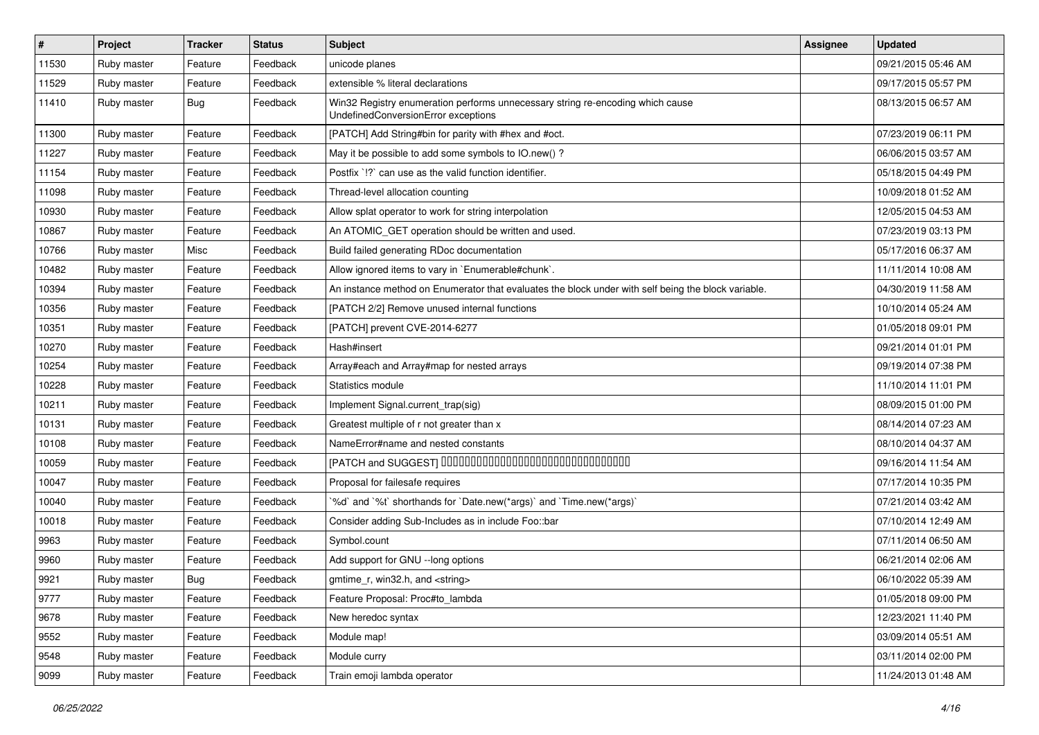| $\vert$ # | Project     | <b>Tracker</b> | <b>Status</b> | Subject                                                                                                               | <b>Assignee</b> | <b>Updated</b>      |
|-----------|-------------|----------------|---------------|-----------------------------------------------------------------------------------------------------------------------|-----------------|---------------------|
| 11530     | Ruby master | Feature        | Feedback      | unicode planes                                                                                                        |                 | 09/21/2015 05:46 AM |
| 11529     | Ruby master | Feature        | Feedback      | extensible % literal declarations                                                                                     |                 | 09/17/2015 05:57 PM |
| 11410     | Ruby master | <b>Bug</b>     | Feedback      | Win32 Registry enumeration performs unnecessary string re-encoding which cause<br>UndefinedConversionError exceptions |                 | 08/13/2015 06:57 AM |
| 11300     | Ruby master | Feature        | Feedback      | [PATCH] Add String#bin for parity with #hex and #oct.                                                                 |                 | 07/23/2019 06:11 PM |
| 11227     | Ruby master | Feature        | Feedback      | May it be possible to add some symbols to IO.new() ?                                                                  |                 | 06/06/2015 03:57 AM |
| 11154     | Ruby master | Feature        | Feedback      | Postfix '!?' can use as the valid function identifier.                                                                |                 | 05/18/2015 04:49 PM |
| 11098     | Ruby master | Feature        | Feedback      | Thread-level allocation counting                                                                                      |                 | 10/09/2018 01:52 AM |
| 10930     | Ruby master | Feature        | Feedback      | Allow splat operator to work for string interpolation                                                                 |                 | 12/05/2015 04:53 AM |
| 10867     | Ruby master | Feature        | Feedback      | An ATOMIC_GET operation should be written and used.                                                                   |                 | 07/23/2019 03:13 PM |
| 10766     | Ruby master | Misc           | Feedback      | Build failed generating RDoc documentation                                                                            |                 | 05/17/2016 06:37 AM |
| 10482     | Ruby master | Feature        | Feedback      | Allow ignored items to vary in `Enumerable#chunk`.                                                                    |                 | 11/11/2014 10:08 AM |
| 10394     | Ruby master | Feature        | Feedback      | An instance method on Enumerator that evaluates the block under with self being the block variable.                   |                 | 04/30/2019 11:58 AM |
| 10356     | Ruby master | Feature        | Feedback      | [PATCH 2/2] Remove unused internal functions                                                                          |                 | 10/10/2014 05:24 AM |
| 10351     | Ruby master | Feature        | Feedback      | [PATCH] prevent CVE-2014-6277                                                                                         |                 | 01/05/2018 09:01 PM |
| 10270     | Ruby master | Feature        | Feedback      | Hash#insert                                                                                                           |                 | 09/21/2014 01:01 PM |
| 10254     | Ruby master | Feature        | Feedback      | Array#each and Array#map for nested arrays                                                                            |                 | 09/19/2014 07:38 PM |
| 10228     | Ruby master | Feature        | Feedback      | Statistics module                                                                                                     |                 | 11/10/2014 11:01 PM |
| 10211     | Ruby master | Feature        | Feedback      | Implement Signal.current_trap(sig)                                                                                    |                 | 08/09/2015 01:00 PM |
| 10131     | Ruby master | Feature        | Feedback      | Greatest multiple of r not greater than x                                                                             |                 | 08/14/2014 07:23 AM |
| 10108     | Ruby master | Feature        | Feedback      | NameError#name and nested constants                                                                                   |                 | 08/10/2014 04:37 AM |
| 10059     | Ruby master | Feature        | Feedback      | [PATCH and SUGGEST] 0000000000000000000000000000000                                                                   |                 | 09/16/2014 11:54 AM |
| 10047     | Ruby master | Feature        | Feedback      | Proposal for failesafe requires                                                                                       |                 | 07/17/2014 10:35 PM |
| 10040     | Ruby master | Feature        | Feedback      | '%d' and '%t' shorthands for 'Date.new(*args)' and 'Time.new(*args)'                                                  |                 | 07/21/2014 03:42 AM |
| 10018     | Ruby master | Feature        | Feedback      | Consider adding Sub-Includes as in include Foo::bar                                                                   |                 | 07/10/2014 12:49 AM |
| 9963      | Ruby master | Feature        | Feedback      | Symbol.count                                                                                                          |                 | 07/11/2014 06:50 AM |
| 9960      | Ruby master | Feature        | Feedback      | Add support for GNU --long options                                                                                    |                 | 06/21/2014 02:06 AM |
| 9921      | Ruby master | Bug            | Feedback      | qmtime r, win32.h, and <string></string>                                                                              |                 | 06/10/2022 05:39 AM |
| 9777      | Ruby master | Feature        | Feedback      | Feature Proposal: Proc#to_lambda                                                                                      |                 | 01/05/2018 09:00 PM |
| 9678      | Ruby master | Feature        | Feedback      | New heredoc syntax                                                                                                    |                 | 12/23/2021 11:40 PM |
| 9552      | Ruby master | Feature        | Feedback      | Module map!                                                                                                           |                 | 03/09/2014 05:51 AM |
| 9548      | Ruby master | Feature        | Feedback      | Module curry                                                                                                          |                 | 03/11/2014 02:00 PM |
| 9099      | Ruby master | Feature        | Feedback      | Train emoji lambda operator                                                                                           |                 | 11/24/2013 01:48 AM |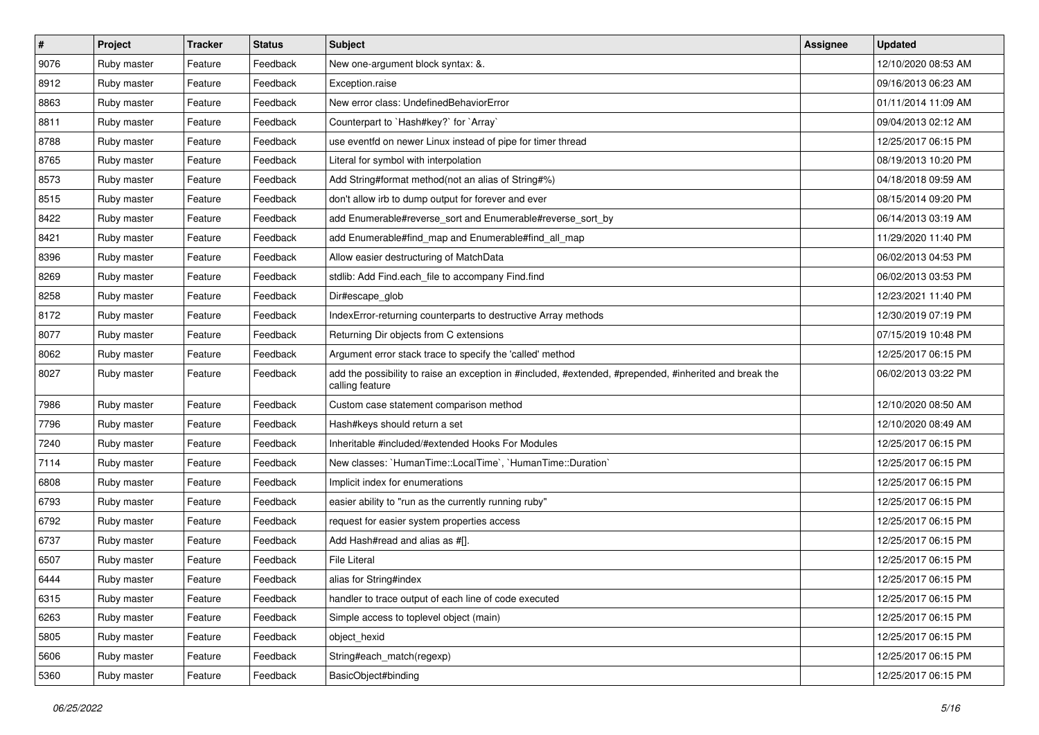| $\vert$ # | Project     | <b>Tracker</b> | <b>Status</b> | Subject                                                                                                                    | Assignee | <b>Updated</b>      |
|-----------|-------------|----------------|---------------|----------------------------------------------------------------------------------------------------------------------------|----------|---------------------|
| 9076      | Ruby master | Feature        | Feedback      | New one-argument block syntax: &.                                                                                          |          | 12/10/2020 08:53 AM |
| 8912      | Ruby master | Feature        | Feedback      | Exception.raise                                                                                                            |          | 09/16/2013 06:23 AM |
| 8863      | Ruby master | Feature        | Feedback      | New error class: UndefinedBehaviorError                                                                                    |          | 01/11/2014 11:09 AM |
| 8811      | Ruby master | Feature        | Feedback      | Counterpart to `Hash#key?` for `Array`                                                                                     |          | 09/04/2013 02:12 AM |
| 8788      | Ruby master | Feature        | Feedback      | use eventfd on newer Linux instead of pipe for timer thread                                                                |          | 12/25/2017 06:15 PM |
| 8765      | Ruby master | Feature        | Feedback      | Literal for symbol with interpolation                                                                                      |          | 08/19/2013 10:20 PM |
| 8573      | Ruby master | Feature        | Feedback      | Add String#format method(not an alias of String#%)                                                                         |          | 04/18/2018 09:59 AM |
| 8515      | Ruby master | Feature        | Feedback      | don't allow irb to dump output for forever and ever                                                                        |          | 08/15/2014 09:20 PM |
| 8422      | Ruby master | Feature        | Feedback      | add Enumerable#reverse_sort and Enumerable#reverse_sort_by                                                                 |          | 06/14/2013 03:19 AM |
| 8421      | Ruby master | Feature        | Feedback      | add Enumerable#find_map and Enumerable#find_all_map                                                                        |          | 11/29/2020 11:40 PM |
| 8396      | Ruby master | Feature        | Feedback      | Allow easier destructuring of MatchData                                                                                    |          | 06/02/2013 04:53 PM |
| 8269      | Ruby master | Feature        | Feedback      | stdlib: Add Find.each_file to accompany Find.find                                                                          |          | 06/02/2013 03:53 PM |
| 8258      | Ruby master | Feature        | Feedback      | Dir#escape glob                                                                                                            |          | 12/23/2021 11:40 PM |
| 8172      | Ruby master | Feature        | Feedback      | IndexError-returning counterparts to destructive Array methods                                                             |          | 12/30/2019 07:19 PM |
| 8077      | Ruby master | Feature        | Feedback      | Returning Dir objects from C extensions                                                                                    |          | 07/15/2019 10:48 PM |
| 8062      | Ruby master | Feature        | Feedback      | Argument error stack trace to specify the 'called' method                                                                  |          | 12/25/2017 06:15 PM |
| 8027      | Ruby master | Feature        | Feedback      | add the possibility to raise an exception in #included, #extended, #prepended, #inherited and break the<br>calling feature |          | 06/02/2013 03:22 PM |
| 7986      | Ruby master | Feature        | Feedback      | Custom case statement comparison method                                                                                    |          | 12/10/2020 08:50 AM |
| 7796      | Ruby master | Feature        | Feedback      | Hash#keys should return a set                                                                                              |          | 12/10/2020 08:49 AM |
| 7240      | Ruby master | Feature        | Feedback      | Inheritable #included/#extended Hooks For Modules                                                                          |          | 12/25/2017 06:15 PM |
| 7114      | Ruby master | Feature        | Feedback      | New classes: `HumanTime::LocalTime`, `HumanTime::Duration`                                                                 |          | 12/25/2017 06:15 PM |
| 6808      | Ruby master | Feature        | Feedback      | Implicit index for enumerations                                                                                            |          | 12/25/2017 06:15 PM |
| 6793      | Ruby master | Feature        | Feedback      | easier ability to "run as the currently running ruby"                                                                      |          | 12/25/2017 06:15 PM |
| 6792      | Ruby master | Feature        | Feedback      | request for easier system properties access                                                                                |          | 12/25/2017 06:15 PM |
| 6737      | Ruby master | Feature        | Feedback      | Add Hash#read and alias as #[].                                                                                            |          | 12/25/2017 06:15 PM |
| 6507      | Ruby master | Feature        | Feedback      | <b>File Literal</b>                                                                                                        |          | 12/25/2017 06:15 PM |
| 6444      | Ruby master | Feature        | Feedback      | alias for String#index                                                                                                     |          | 12/25/2017 06:15 PM |
| 6315      | Ruby master | Feature        | Feedback      | handler to trace output of each line of code executed                                                                      |          | 12/25/2017 06:15 PM |
| 6263      | Ruby master | Feature        | Feedback      | Simple access to toplevel object (main)                                                                                    |          | 12/25/2017 06:15 PM |
| 5805      | Ruby master | Feature        | Feedback      | object_hexid                                                                                                               |          | 12/25/2017 06:15 PM |
| 5606      | Ruby master | Feature        | Feedback      | String#each_match(regexp)                                                                                                  |          | 12/25/2017 06:15 PM |
| 5360      | Ruby master | Feature        | Feedback      | BasicObject#binding                                                                                                        |          | 12/25/2017 06:15 PM |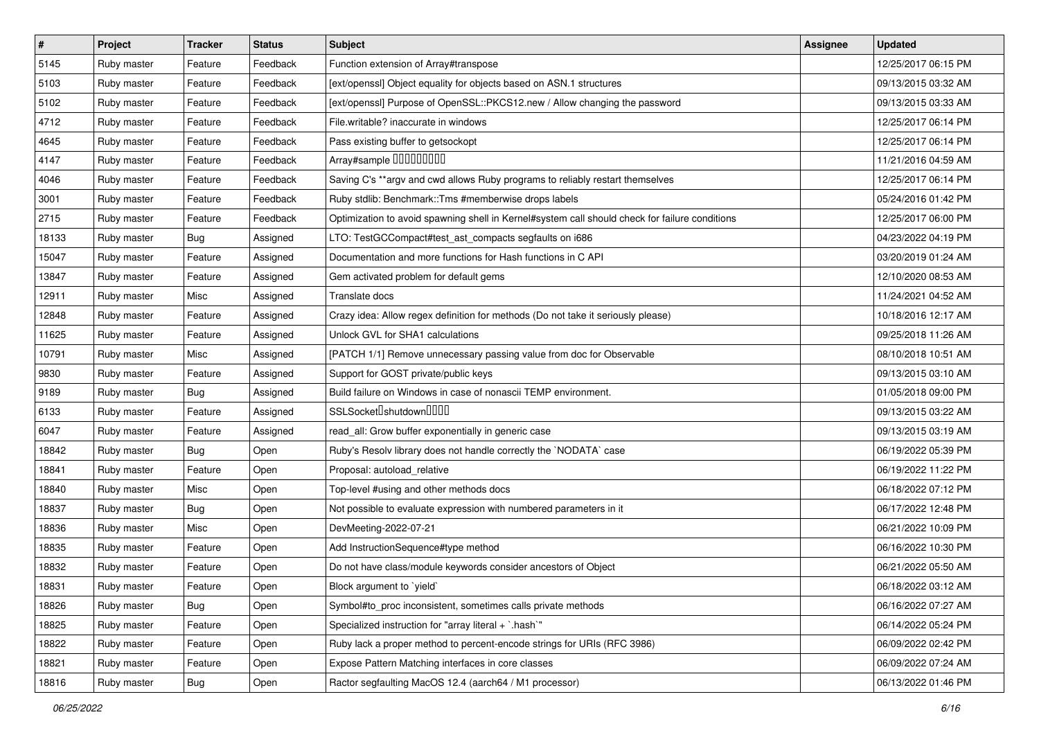| $\vert$ # | Project     | <b>Tracker</b> | <b>Status</b> | <b>Subject</b>                                                                                 | <b>Assignee</b> | <b>Updated</b>      |
|-----------|-------------|----------------|---------------|------------------------------------------------------------------------------------------------|-----------------|---------------------|
| 5145      | Ruby master | Feature        | Feedback      | Function extension of Array#transpose                                                          |                 | 12/25/2017 06:15 PM |
| 5103      | Ruby master | Feature        | Feedback      | [ext/openssl] Object equality for objects based on ASN.1 structures                            |                 | 09/13/2015 03:32 AM |
| 5102      | Ruby master | Feature        | Feedback      | [ext/openssl] Purpose of OpenSSL::PKCS12.new / Allow changing the password                     |                 | 09/13/2015 03:33 AM |
| 4712      | Ruby master | Feature        | Feedback      | File.writable? inaccurate in windows                                                           |                 | 12/25/2017 06:14 PM |
| 4645      | Ruby master | Feature        | Feedback      | Pass existing buffer to getsockopt                                                             |                 | 12/25/2017 06:14 PM |
| 4147      | Ruby master | Feature        | Feedback      | Array#sample 00000000                                                                          |                 | 11/21/2016 04:59 AM |
| 4046      | Ruby master | Feature        | Feedback      | Saving C's ** argv and cwd allows Ruby programs to reliably restart themselves                 |                 | 12/25/2017 06:14 PM |
| 3001      | Ruby master | Feature        | Feedback      | Ruby stdlib: Benchmark::Tms #memberwise drops labels                                           |                 | 05/24/2016 01:42 PM |
| 2715      | Ruby master | Feature        | Feedback      | Optimization to avoid spawning shell in Kernel#system call should check for failure conditions |                 | 12/25/2017 06:00 PM |
| 18133     | Ruby master | Bug            | Assigned      | LTO: TestGCCompact#test_ast_compacts segfaults on i686                                         |                 | 04/23/2022 04:19 PM |
| 15047     | Ruby master | Feature        | Assigned      | Documentation and more functions for Hash functions in C API                                   |                 | 03/20/2019 01:24 AM |
| 13847     | Ruby master | Feature        | Assigned      | Gem activated problem for default gems                                                         |                 | 12/10/2020 08:53 AM |
| 12911     | Ruby master | Misc           | Assigned      | Translate docs                                                                                 |                 | 11/24/2021 04:52 AM |
| 12848     | Ruby master | Feature        | Assigned      | Crazy idea: Allow regex definition for methods (Do not take it seriously please)               |                 | 10/18/2016 12:17 AM |
| 11625     | Ruby master | Feature        | Assigned      | Unlock GVL for SHA1 calculations                                                               |                 | 09/25/2018 11:26 AM |
| 10791     | Ruby master | Misc           | Assigned      | [PATCH 1/1] Remove unnecessary passing value from doc for Observable                           |                 | 08/10/2018 10:51 AM |
| 9830      | Ruby master | Feature        | Assigned      | Support for GOST private/public keys                                                           |                 | 09/13/2015 03:10 AM |
| 9189      | Ruby master | Bug            | Assigned      | Build failure on Windows in case of nonascii TEMP environment.                                 |                 | 01/05/2018 09:00 PM |
| 6133      | Ruby master | Feature        | Assigned      | SSLSocket <sup>[]</sup> shutdown <sup>[][][]</sup>                                             |                 | 09/13/2015 03:22 AM |
| 6047      | Ruby master | Feature        | Assigned      | read_all: Grow buffer exponentially in generic case                                            |                 | 09/13/2015 03:19 AM |
| 18842     | Ruby master | Bug            | Open          | Ruby's Resolv library does not handle correctly the `NODATA` case                              |                 | 06/19/2022 05:39 PM |
| 18841     | Ruby master | Feature        | Open          | Proposal: autoload_relative                                                                    |                 | 06/19/2022 11:22 PM |
| 18840     | Ruby master | Misc           | Open          | Top-level #using and other methods docs                                                        |                 | 06/18/2022 07:12 PM |
| 18837     | Ruby master | Bug            | Open          | Not possible to evaluate expression with numbered parameters in it                             |                 | 06/17/2022 12:48 PM |
| 18836     | Ruby master | Misc           | Open          | DevMeeting-2022-07-21                                                                          |                 | 06/21/2022 10:09 PM |
| 18835     | Ruby master | Feature        | Open          | Add InstructionSequence#type method                                                            |                 | 06/16/2022 10:30 PM |
| 18832     | Ruby master | Feature        | Open          | Do not have class/module keywords consider ancestors of Object                                 |                 | 06/21/2022 05:50 AM |
| 18831     | Ruby master | Feature        | Open          | Block argument to `yield`                                                                      |                 | 06/18/2022 03:12 AM |
| 18826     | Ruby master | Bug            | Open          | Symbol#to proc inconsistent, sometimes calls private methods                                   |                 | 06/16/2022 07:27 AM |
| 18825     | Ruby master | Feature        | Open          | Specialized instruction for "array literal + `.hash`"                                          |                 | 06/14/2022 05:24 PM |
| 18822     | Ruby master | Feature        | Open          | Ruby lack a proper method to percent-encode strings for URIs (RFC 3986)                        |                 | 06/09/2022 02:42 PM |
| 18821     | Ruby master | Feature        | Open          | Expose Pattern Matching interfaces in core classes                                             |                 | 06/09/2022 07:24 AM |
| 18816     | Ruby master | Bug            | Open          | Ractor segfaulting MacOS 12.4 (aarch64 / M1 processor)                                         |                 | 06/13/2022 01:46 PM |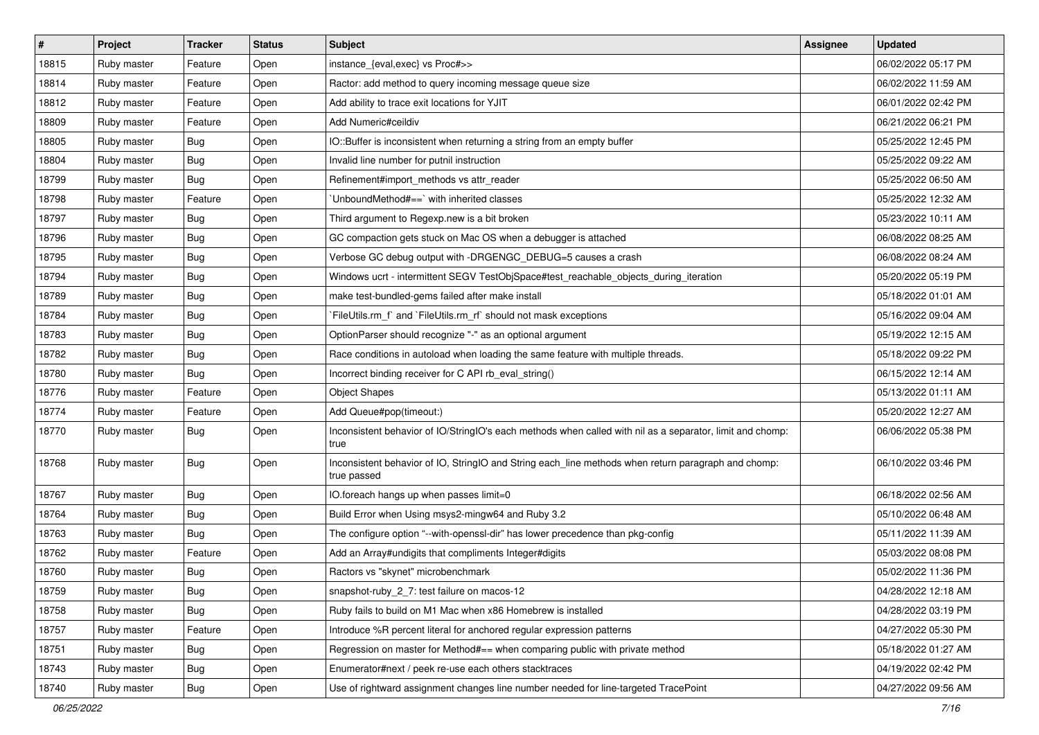| #     | Project     | <b>Tracker</b> | <b>Status</b> | <b>Subject</b>                                                                                                     | Assignee | <b>Updated</b>      |
|-------|-------------|----------------|---------------|--------------------------------------------------------------------------------------------------------------------|----------|---------------------|
| 18815 | Ruby master | Feature        | Open          | instance_{eval,exec} vs Proc#>>                                                                                    |          | 06/02/2022 05:17 PM |
| 18814 | Ruby master | Feature        | Open          | Ractor: add method to query incoming message queue size                                                            |          | 06/02/2022 11:59 AM |
| 18812 | Ruby master | Feature        | Open          | Add ability to trace exit locations for YJIT                                                                       |          | 06/01/2022 02:42 PM |
| 18809 | Ruby master | Feature        | Open          | Add Numeric#ceildiv                                                                                                |          | 06/21/2022 06:21 PM |
| 18805 | Ruby master | <b>Bug</b>     | Open          | IO::Buffer is inconsistent when returning a string from an empty buffer                                            |          | 05/25/2022 12:45 PM |
| 18804 | Ruby master | <b>Bug</b>     | Open          | Invalid line number for putnil instruction                                                                         |          | 05/25/2022 09:22 AM |
| 18799 | Ruby master | <b>Bug</b>     | Open          | Refinement#import_methods vs attr_reader                                                                           |          | 05/25/2022 06:50 AM |
| 18798 | Ruby master | Feature        | Open          | UnboundMethod#==`with inherited classes                                                                            |          | 05/25/2022 12:32 AM |
| 18797 | Ruby master | Bug            | Open          | Third argument to Regexp.new is a bit broken                                                                       |          | 05/23/2022 10:11 AM |
| 18796 | Ruby master | Bug            | Open          | GC compaction gets stuck on Mac OS when a debugger is attached                                                     |          | 06/08/2022 08:25 AM |
| 18795 | Ruby master | Bug            | Open          | Verbose GC debug output with -DRGENGC_DEBUG=5 causes a crash                                                       |          | 06/08/2022 08:24 AM |
| 18794 | Ruby master | Bug            | Open          | Windows ucrt - intermittent SEGV TestObjSpace#test_reachable_objects_during_iteration                              |          | 05/20/2022 05:19 PM |
| 18789 | Ruby master | <b>Bug</b>     | Open          | make test-bundled-gems failed after make install                                                                   |          | 05/18/2022 01:01 AM |
| 18784 | Ruby master | <b>Bug</b>     | Open          | FileUtils.rm_f` and `FileUtils.rm_rf` should not mask exceptions                                                   |          | 05/16/2022 09:04 AM |
| 18783 | Ruby master | Bug            | Open          | OptionParser should recognize "-" as an optional argument                                                          |          | 05/19/2022 12:15 AM |
| 18782 | Ruby master | Bug            | Open          | Race conditions in autoload when loading the same feature with multiple threads.                                   |          | 05/18/2022 09:22 PM |
| 18780 | Ruby master | <b>Bug</b>     | Open          | Incorrect binding receiver for C API rb_eval_string()                                                              |          | 06/15/2022 12:14 AM |
| 18776 | Ruby master | Feature        | Open          | <b>Object Shapes</b>                                                                                               |          | 05/13/2022 01:11 AM |
| 18774 | Ruby master | Feature        | Open          | Add Queue#pop(timeout:)                                                                                            |          | 05/20/2022 12:27 AM |
| 18770 | Ruby master | <b>Bug</b>     | Open          | Inconsistent behavior of IO/StringIO's each methods when called with nil as a separator, limit and chomp:<br>true  |          | 06/06/2022 05:38 PM |
| 18768 | Ruby master | <b>Bug</b>     | Open          | Inconsistent behavior of IO, StringIO and String each_line methods when return paragraph and chomp:<br>true passed |          | 06/10/2022 03:46 PM |
| 18767 | Ruby master | <b>Bug</b>     | Open          | IO.foreach hangs up when passes limit=0                                                                            |          | 06/18/2022 02:56 AM |
| 18764 | Ruby master | <b>Bug</b>     | Open          | Build Error when Using msys2-mingw64 and Ruby 3.2                                                                  |          | 05/10/2022 06:48 AM |
| 18763 | Ruby master | <b>Bug</b>     | Open          | The configure option "--with-openssl-dir" has lower precedence than pkg-config                                     |          | 05/11/2022 11:39 AM |
| 18762 | Ruby master | Feature        | Open          | Add an Array#undigits that compliments Integer#digits                                                              |          | 05/03/2022 08:08 PM |
| 18760 | Ruby master | Bug            | Open          | Ractors vs "skynet" microbenchmark                                                                                 |          | 05/02/2022 11:36 PM |
| 18759 | Ruby master | Bug            | Open          | snapshot-ruby_2_7: test failure on macos-12                                                                        |          | 04/28/2022 12:18 AM |
| 18758 | Ruby master | <b>Bug</b>     | Open          | Ruby fails to build on M1 Mac when x86 Homebrew is installed                                                       |          | 04/28/2022 03:19 PM |
| 18757 | Ruby master | Feature        | Open          | Introduce %R percent literal for anchored regular expression patterns                                              |          | 04/27/2022 05:30 PM |
| 18751 | Ruby master | Bug            | Open          | Regression on master for Method#== when comparing public with private method                                       |          | 05/18/2022 01:27 AM |
| 18743 | Ruby master | <b>Bug</b>     | Open          | Enumerator#next / peek re-use each others stacktraces                                                              |          | 04/19/2022 02:42 PM |
| 18740 | Ruby master | Bug            | Open          | Use of rightward assignment changes line number needed for line-targeted TracePoint                                |          | 04/27/2022 09:56 AM |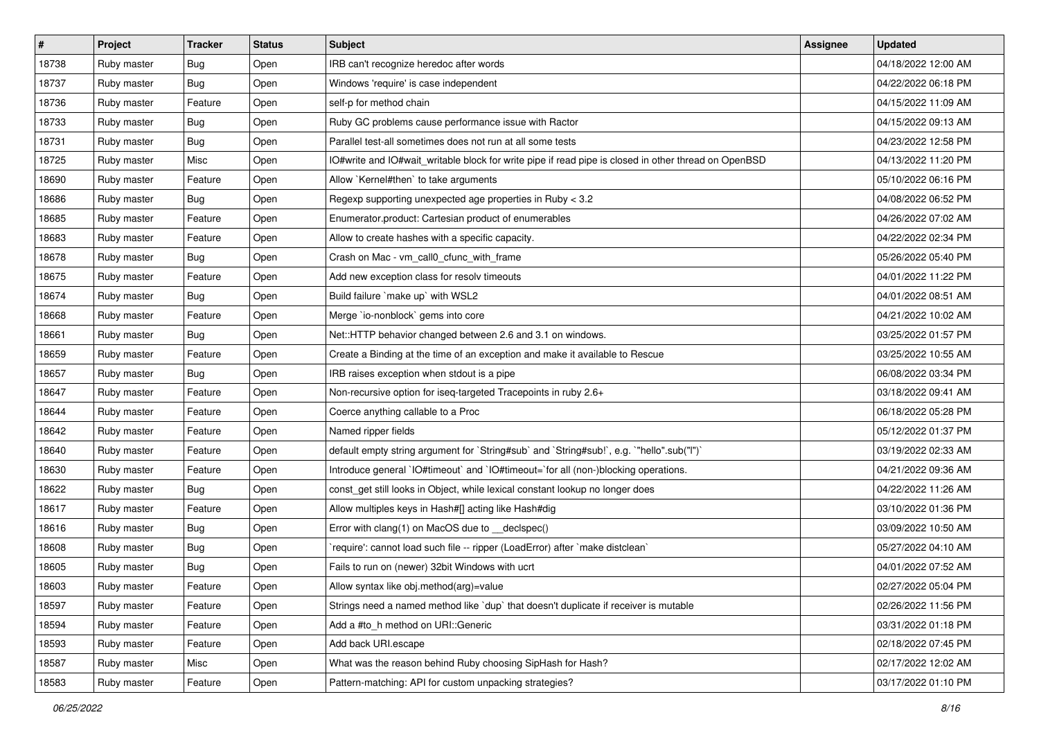| $\sharp$ | Project     | <b>Tracker</b> | <b>Status</b> | <b>Subject</b>                                                                                       | <b>Assignee</b> | <b>Updated</b>      |
|----------|-------------|----------------|---------------|------------------------------------------------------------------------------------------------------|-----------------|---------------------|
| 18738    | Ruby master | <b>Bug</b>     | Open          | IRB can't recognize heredoc after words                                                              |                 | 04/18/2022 12:00 AM |
| 18737    | Ruby master | <b>Bug</b>     | Open          | Windows 'require' is case independent                                                                |                 | 04/22/2022 06:18 PM |
| 18736    | Ruby master | Feature        | Open          | self-p for method chain                                                                              |                 | 04/15/2022 11:09 AM |
| 18733    | Ruby master | Bug            | Open          | Ruby GC problems cause performance issue with Ractor                                                 |                 | 04/15/2022 09:13 AM |
| 18731    | Ruby master | <b>Bug</b>     | Open          | Parallel test-all sometimes does not run at all some tests                                           |                 | 04/23/2022 12:58 PM |
| 18725    | Ruby master | Misc           | Open          | IO#write and IO#wait_writable block for write pipe if read pipe is closed in other thread on OpenBSD |                 | 04/13/2022 11:20 PM |
| 18690    | Ruby master | Feature        | Open          | Allow `Kernel#then` to take arguments                                                                |                 | 05/10/2022 06:16 PM |
| 18686    | Ruby master | Bug            | Open          | Regexp supporting unexpected age properties in Ruby < 3.2                                            |                 | 04/08/2022 06:52 PM |
| 18685    | Ruby master | Feature        | Open          | Enumerator.product: Cartesian product of enumerables                                                 |                 | 04/26/2022 07:02 AM |
| 18683    | Ruby master | Feature        | Open          | Allow to create hashes with a specific capacity.                                                     |                 | 04/22/2022 02:34 PM |
| 18678    | Ruby master | <b>Bug</b>     | Open          | Crash on Mac - vm_call0_cfunc_with_frame                                                             |                 | 05/26/2022 05:40 PM |
| 18675    | Ruby master | Feature        | Open          | Add new exception class for resolv timeouts                                                          |                 | 04/01/2022 11:22 PM |
| 18674    | Ruby master | <b>Bug</b>     | Open          | Build failure `make up` with WSL2                                                                    |                 | 04/01/2022 08:51 AM |
| 18668    | Ruby master | Feature        | Open          | Merge `io-nonblock` gems into core                                                                   |                 | 04/21/2022 10:02 AM |
| 18661    | Ruby master | <b>Bug</b>     | Open          | Net::HTTP behavior changed between 2.6 and 3.1 on windows.                                           |                 | 03/25/2022 01:57 PM |
| 18659    | Ruby master | Feature        | Open          | Create a Binding at the time of an exception and make it available to Rescue                         |                 | 03/25/2022 10:55 AM |
| 18657    | Ruby master | Bug            | Open          | IRB raises exception when stdout is a pipe                                                           |                 | 06/08/2022 03:34 PM |
| 18647    | Ruby master | Feature        | Open          | Non-recursive option for iseq-targeted Tracepoints in ruby 2.6+                                      |                 | 03/18/2022 09:41 AM |
| 18644    | Ruby master | Feature        | Open          | Coerce anything callable to a Proc                                                                   |                 | 06/18/2022 05:28 PM |
| 18642    | Ruby master | Feature        | Open          | Named ripper fields                                                                                  |                 | 05/12/2022 01:37 PM |
| 18640    | Ruby master | Feature        | Open          | default empty string argument for `String#sub` and `String#sub!`, e.g. `"hello".sub("I")`            |                 | 03/19/2022 02:33 AM |
| 18630    | Ruby master | Feature        | Open          | Introduce general `IO#timeout` and `IO#timeout=`for all (non-)blocking operations.                   |                 | 04/21/2022 09:36 AM |
| 18622    | Ruby master | Bug            | Open          | const_get still looks in Object, while lexical constant lookup no longer does                        |                 | 04/22/2022 11:26 AM |
| 18617    | Ruby master | Feature        | Open          | Allow multiples keys in Hash#[] acting like Hash#dig                                                 |                 | 03/10/2022 01:36 PM |
| 18616    | Ruby master | Bug            | Open          | Error with clang(1) on MacOS due to _declspec()                                                      |                 | 03/09/2022 10:50 AM |
| 18608    | Ruby master | Bug            | Open          | 'require': cannot load such file -- ripper (LoadError) after 'make distclean'                        |                 | 05/27/2022 04:10 AM |
| 18605    | Ruby master | Bug            | Open          | Fails to run on (newer) 32bit Windows with ucrt                                                      |                 | 04/01/2022 07:52 AM |
| 18603    | Ruby master | Feature        | Open          | Allow syntax like obj.method(arg)=value                                                              |                 | 02/27/2022 05:04 PM |
| 18597    | Ruby master | Feature        | Open          | Strings need a named method like `dup` that doesn't duplicate if receiver is mutable                 |                 | 02/26/2022 11:56 PM |
| 18594    | Ruby master | Feature        | Open          | Add a #to_h method on URI::Generic                                                                   |                 | 03/31/2022 01:18 PM |
| 18593    | Ruby master | Feature        | Open          | Add back URI.escape                                                                                  |                 | 02/18/2022 07:45 PM |
| 18587    | Ruby master | Misc           | Open          | What was the reason behind Ruby choosing SipHash for Hash?                                           |                 | 02/17/2022 12:02 AM |
| 18583    | Ruby master | Feature        | Open          | Pattern-matching: API for custom unpacking strategies?                                               |                 | 03/17/2022 01:10 PM |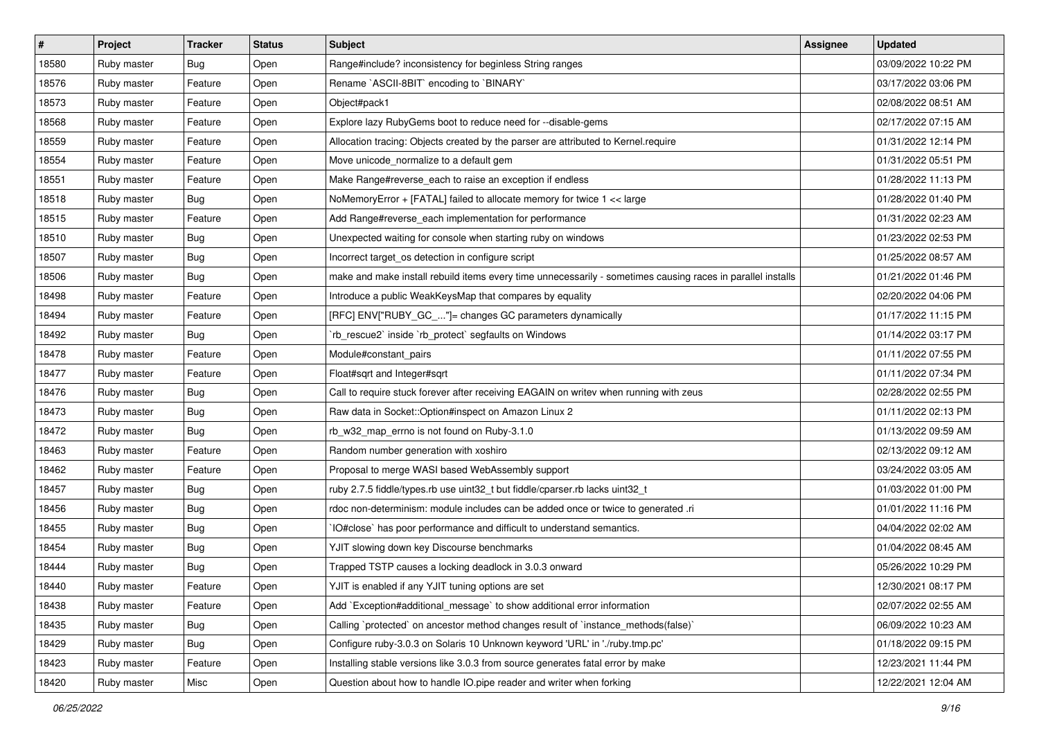| #     | Project     | <b>Tracker</b> | <b>Status</b> | <b>Subject</b>                                                                                              | Assignee | <b>Updated</b>      |
|-------|-------------|----------------|---------------|-------------------------------------------------------------------------------------------------------------|----------|---------------------|
| 18580 | Ruby master | <b>Bug</b>     | Open          | Range#include? inconsistency for beginless String ranges                                                    |          | 03/09/2022 10:22 PM |
| 18576 | Ruby master | Feature        | Open          | Rename `ASCII-8BIT` encoding to `BINARY`                                                                    |          | 03/17/2022 03:06 PM |
| 18573 | Ruby master | Feature        | Open          | Object#pack1                                                                                                |          | 02/08/2022 08:51 AM |
| 18568 | Ruby master | Feature        | Open          | Explore lazy RubyGems boot to reduce need for --disable-gems                                                |          | 02/17/2022 07:15 AM |
| 18559 | Ruby master | Feature        | Open          | Allocation tracing: Objects created by the parser are attributed to Kernel.require                          |          | 01/31/2022 12:14 PM |
| 18554 | Ruby master | Feature        | Open          | Move unicode_normalize to a default gem                                                                     |          | 01/31/2022 05:51 PM |
| 18551 | Ruby master | Feature        | Open          | Make Range#reverse_each to raise an exception if endless                                                    |          | 01/28/2022 11:13 PM |
| 18518 | Ruby master | <b>Bug</b>     | Open          | NoMemoryError + [FATAL] failed to allocate memory for twice 1 << large                                      |          | 01/28/2022 01:40 PM |
| 18515 | Ruby master | Feature        | Open          | Add Range#reverse_each implementation for performance                                                       |          | 01/31/2022 02:23 AM |
| 18510 | Ruby master | <b>Bug</b>     | Open          | Unexpected waiting for console when starting ruby on windows                                                |          | 01/23/2022 02:53 PM |
| 18507 | Ruby master | Bug            | Open          | Incorrect target_os detection in configure script                                                           |          | 01/25/2022 08:57 AM |
| 18506 | Ruby master | Bug            | Open          | make and make install rebuild items every time unnecessarily - sometimes causing races in parallel installs |          | 01/21/2022 01:46 PM |
| 18498 | Ruby master | Feature        | Open          | Introduce a public WeakKeysMap that compares by equality                                                    |          | 02/20/2022 04:06 PM |
| 18494 | Ruby master | Feature        | Open          | [RFC] ENV["RUBY_GC_"]= changes GC parameters dynamically                                                    |          | 01/17/2022 11:15 PM |
| 18492 | Ruby master | <b>Bug</b>     | Open          | 'rb_rescue2` inside `rb_protect` segfaults on Windows                                                       |          | 01/14/2022 03:17 PM |
| 18478 | Ruby master | Feature        | Open          | Module#constant_pairs                                                                                       |          | 01/11/2022 07:55 PM |
| 18477 | Ruby master | Feature        | Open          | Float#sqrt and Integer#sqrt                                                                                 |          | 01/11/2022 07:34 PM |
| 18476 | Ruby master | <b>Bug</b>     | Open          | Call to require stuck forever after receiving EAGAIN on writev when running with zeus                       |          | 02/28/2022 02:55 PM |
| 18473 | Ruby master | Bug            | Open          | Raw data in Socket::Option#inspect on Amazon Linux 2                                                        |          | 01/11/2022 02:13 PM |
| 18472 | Ruby master | <b>Bug</b>     | Open          | rb_w32_map_errno is not found on Ruby-3.1.0                                                                 |          | 01/13/2022 09:59 AM |
| 18463 | Ruby master | Feature        | Open          | Random number generation with xoshiro                                                                       |          | 02/13/2022 09:12 AM |
| 18462 | Ruby master | Feature        | Open          | Proposal to merge WASI based WebAssembly support                                                            |          | 03/24/2022 03:05 AM |
| 18457 | Ruby master | <b>Bug</b>     | Open          | ruby 2.7.5 fiddle/types.rb use uint32_t but fiddle/cparser.rb lacks uint32_t                                |          | 01/03/2022 01:00 PM |
| 18456 | Ruby master | Bug            | Open          | rdoc non-determinism: module includes can be added once or twice to generated .ri                           |          | 01/01/2022 11:16 PM |
| 18455 | Ruby master | Bug            | Open          | IO#close` has poor performance and difficult to understand semantics.                                       |          | 04/04/2022 02:02 AM |
| 18454 | Ruby master | Bug            | Open          | YJIT slowing down key Discourse benchmarks                                                                  |          | 01/04/2022 08:45 AM |
| 18444 | Ruby master | Bug            | Open          | Trapped TSTP causes a locking deadlock in 3.0.3 onward                                                      |          | 05/26/2022 10:29 PM |
| 18440 | Ruby master | Feature        | Open          | YJIT is enabled if any YJIT tuning options are set                                                          |          | 12/30/2021 08:17 PM |
| 18438 | Ruby master | Feature        | Open          | Add `Exception#additional message` to show additional error information                                     |          | 02/07/2022 02:55 AM |
| 18435 | Ruby master | Bug            | Open          | Calling `protected` on ancestor method changes result of `instance_methods(false)`                          |          | 06/09/2022 10:23 AM |
| 18429 | Ruby master | Bug            | Open          | Configure ruby-3.0.3 on Solaris 10 Unknown keyword 'URL' in './ruby.tmp.pc'                                 |          | 01/18/2022 09:15 PM |
| 18423 | Ruby master | Feature        | Open          | Installing stable versions like 3.0.3 from source generates fatal error by make                             |          | 12/23/2021 11:44 PM |
| 18420 | Ruby master | Misc           | Open          | Question about how to handle IO.pipe reader and writer when forking                                         |          | 12/22/2021 12:04 AM |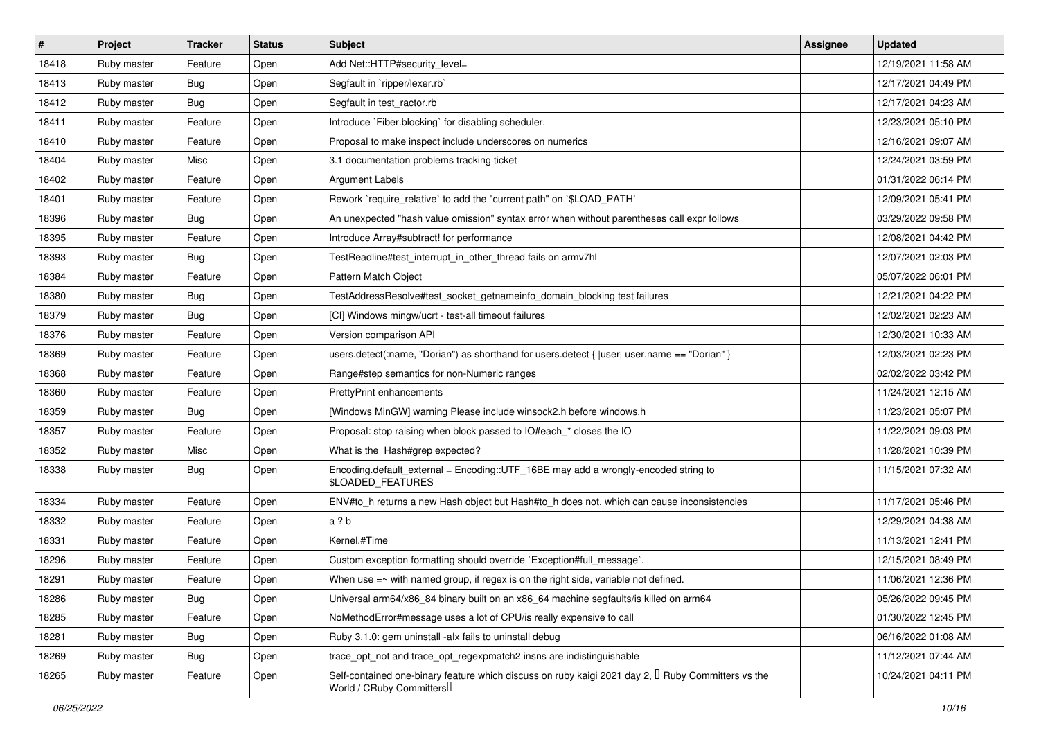| $\vert$ # | Project     | <b>Tracker</b> | <b>Status</b> | <b>Subject</b>                                                                                                                             | <b>Assignee</b> | <b>Updated</b>      |
|-----------|-------------|----------------|---------------|--------------------------------------------------------------------------------------------------------------------------------------------|-----------------|---------------------|
| 18418     | Ruby master | Feature        | Open          | Add Net::HTTP#security_level=                                                                                                              |                 | 12/19/2021 11:58 AM |
| 18413     | Ruby master | <b>Bug</b>     | Open          | Segfault in `ripper/lexer.rb`                                                                                                              |                 | 12/17/2021 04:49 PM |
| 18412     | Ruby master | <b>Bug</b>     | Open          | Segfault in test ractor.rb                                                                                                                 |                 | 12/17/2021 04:23 AM |
| 18411     | Ruby master | Feature        | Open          | Introduce `Fiber.blocking` for disabling scheduler.                                                                                        |                 | 12/23/2021 05:10 PM |
| 18410     | Ruby master | Feature        | Open          | Proposal to make inspect include underscores on numerics                                                                                   |                 | 12/16/2021 09:07 AM |
| 18404     | Ruby master | Misc           | Open          | 3.1 documentation problems tracking ticket                                                                                                 |                 | 12/24/2021 03:59 PM |
| 18402     | Ruby master | Feature        | Open          | Argument Labels                                                                                                                            |                 | 01/31/2022 06:14 PM |
| 18401     | Ruby master | Feature        | Open          | Rework `require relative` to add the "current path" on `\$LOAD PATH`                                                                       |                 | 12/09/2021 05:41 PM |
| 18396     | Ruby master | <b>Bug</b>     | Open          | An unexpected "hash value omission" syntax error when without parentheses call expr follows                                                |                 | 03/29/2022 09:58 PM |
| 18395     | Ruby master | Feature        | Open          | Introduce Array#subtract! for performance                                                                                                  |                 | 12/08/2021 04:42 PM |
| 18393     | Ruby master | <b>Bug</b>     | Open          | TestReadline#test interrupt in other thread fails on armv7hl                                                                               |                 | 12/07/2021 02:03 PM |
| 18384     | Ruby master | Feature        | Open          | Pattern Match Object                                                                                                                       |                 | 05/07/2022 06:01 PM |
| 18380     | Ruby master | <b>Bug</b>     | Open          | TestAddressResolve#test socket getnameinfo domain blocking test failures                                                                   |                 | 12/21/2021 04:22 PM |
| 18379     | Ruby master | <b>Bug</b>     | Open          | [CI] Windows mingw/ucrt - test-all timeout failures                                                                                        |                 | 12/02/2021 02:23 AM |
| 18376     | Ruby master | Feature        | Open          | Version comparison API                                                                                                                     |                 | 12/30/2021 10:33 AM |
| 18369     | Ruby master | Feature        | Open          | users.detect(:name, "Dorian") as shorthand for users.detect {  user  user.name == "Dorian" }                                               |                 | 12/03/2021 02:23 PM |
| 18368     | Ruby master | Feature        | Open          | Range#step semantics for non-Numeric ranges                                                                                                |                 | 02/02/2022 03:42 PM |
| 18360     | Ruby master | Feature        | Open          | PrettyPrint enhancements                                                                                                                   |                 | 11/24/2021 12:15 AM |
| 18359     | Ruby master | <b>Bug</b>     | Open          | [Windows MinGW] warning Please include winsock2.h before windows.h                                                                         |                 | 11/23/2021 05:07 PM |
| 18357     | Ruby master | Feature        | Open          | Proposal: stop raising when block passed to IO#each_* closes the IO                                                                        |                 | 11/22/2021 09:03 PM |
| 18352     | Ruby master | Misc           | Open          | What is the Hash#grep expected?                                                                                                            |                 | 11/28/2021 10:39 PM |
| 18338     | Ruby master | Bug            | Open          | Encoding.default_external = Encoding::UTF_16BE may add a wrongly-encoded string to<br>\$LOADED_FEATURES                                    |                 | 11/15/2021 07:32 AM |
| 18334     | Ruby master | Feature        | Open          | ENV#to_h returns a new Hash object but Hash#to_h does not, which can cause inconsistencies                                                 |                 | 11/17/2021 05:46 PM |
| 18332     | Ruby master | Feature        | Open          | a ? b                                                                                                                                      |                 | 12/29/2021 04:38 AM |
| 18331     | Ruby master | Feature        | Open          | Kernel.#Time                                                                                                                               |                 | 11/13/2021 12:41 PM |
| 18296     | Ruby master | Feature        | Open          | Custom exception formatting should override `Exception#full_message`.                                                                      |                 | 12/15/2021 08:49 PM |
| 18291     | Ruby master | Feature        | Open          | When use $=\sim$ with named group, if regex is on the right side, variable not defined.                                                    |                 | 11/06/2021 12:36 PM |
| 18286     | Ruby master | Bug            | Open          | Universal arm64/x86_84 binary built on an x86_64 machine segfaults/is killed on arm64                                                      |                 | 05/26/2022 09:45 PM |
| 18285     | Ruby master | Feature        | Open          | NoMethodError#message uses a lot of CPU/is really expensive to call                                                                        |                 | 01/30/2022 12:45 PM |
| 18281     | Ruby master | <b>Bug</b>     | Open          | Ruby 3.1.0: gem uninstall -alx fails to uninstall debug                                                                                    |                 | 06/16/2022 01:08 AM |
| 18269     | Ruby master | Bug            | Open          | trace_opt_not and trace_opt_regexpmatch2 insns are indistinguishable                                                                       |                 | 11/12/2021 07:44 AM |
| 18265     | Ruby master | Feature        | Open          | Self-contained one-binary feature which discuss on ruby kaigi 2021 day 2, <sup>[]</sup> Ruby Committers vs the<br>World / CRuby Committers |                 | 10/24/2021 04:11 PM |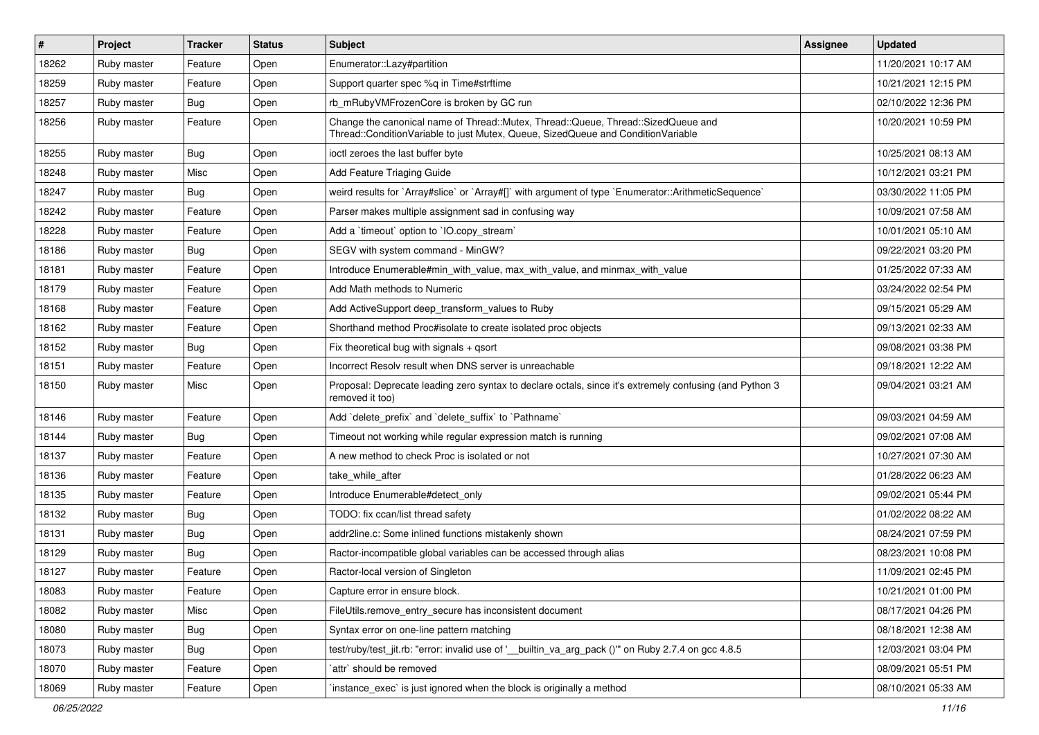| $\vert$ # | Project     | <b>Tracker</b> | <b>Status</b> | <b>Subject</b>                                                                                                                                                        | <b>Assignee</b> | <b>Updated</b>      |
|-----------|-------------|----------------|---------------|-----------------------------------------------------------------------------------------------------------------------------------------------------------------------|-----------------|---------------------|
| 18262     | Ruby master | Feature        | Open          | Enumerator::Lazy#partition                                                                                                                                            |                 | 11/20/2021 10:17 AM |
| 18259     | Ruby master | Feature        | Open          | Support quarter spec %q in Time#strftime                                                                                                                              |                 | 10/21/2021 12:15 PM |
| 18257     | Ruby master | <b>Bug</b>     | Open          | rb_mRubyVMFrozenCore is broken by GC run                                                                                                                              |                 | 02/10/2022 12:36 PM |
| 18256     | Ruby master | Feature        | Open          | Change the canonical name of Thread::Mutex, Thread::Queue, Thread::SizedQueue and<br>Thread::ConditionVariable to just Mutex, Queue, SizedQueue and ConditionVariable |                 | 10/20/2021 10:59 PM |
| 18255     | Ruby master | <b>Bug</b>     | Open          | ioctl zeroes the last buffer byte                                                                                                                                     |                 | 10/25/2021 08:13 AM |
| 18248     | Ruby master | Misc           | Open          | Add Feature Triaging Guide                                                                                                                                            |                 | 10/12/2021 03:21 PM |
| 18247     | Ruby master | Bug            | Open          | weird results for `Array#slice` or `Array#[]` with argument of type `Enumerator::ArithmeticSequence`                                                                  |                 | 03/30/2022 11:05 PM |
| 18242     | Ruby master | Feature        | Open          | Parser makes multiple assignment sad in confusing way                                                                                                                 |                 | 10/09/2021 07:58 AM |
| 18228     | Ruby master | Feature        | Open          | Add a 'timeout' option to 'IO.copy_stream'                                                                                                                            |                 | 10/01/2021 05:10 AM |
| 18186     | Ruby master | <b>Bug</b>     | Open          | SEGV with system command - MinGW?                                                                                                                                     |                 | 09/22/2021 03:20 PM |
| 18181     | Ruby master | Feature        | Open          | Introduce Enumerable#min with value, max with value, and minmax with value                                                                                            |                 | 01/25/2022 07:33 AM |
| 18179     | Ruby master | Feature        | Open          | Add Math methods to Numeric                                                                                                                                           |                 | 03/24/2022 02:54 PM |
| 18168     | Ruby master | Feature        | Open          | Add ActiveSupport deep_transform_values to Ruby                                                                                                                       |                 | 09/15/2021 05:29 AM |
| 18162     | Ruby master | Feature        | Open          | Shorthand method Proc#isolate to create isolated proc objects                                                                                                         |                 | 09/13/2021 02:33 AM |
| 18152     | Ruby master | <b>Bug</b>     | Open          | Fix theoretical bug with signals $+$ qsort                                                                                                                            |                 | 09/08/2021 03:38 PM |
| 18151     | Ruby master | Feature        | Open          | Incorrect Resolv result when DNS server is unreachable                                                                                                                |                 | 09/18/2021 12:22 AM |
| 18150     | Ruby master | Misc           | Open          | Proposal: Deprecate leading zero syntax to declare octals, since it's extremely confusing (and Python 3<br>removed it too)                                            |                 | 09/04/2021 03:21 AM |
| 18146     | Ruby master | Feature        | Open          | Add 'delete_prefix' and 'delete_suffix' to 'Pathname'                                                                                                                 |                 | 09/03/2021 04:59 AM |
| 18144     | Ruby master | Bug            | Open          | Timeout not working while regular expression match is running                                                                                                         |                 | 09/02/2021 07:08 AM |
| 18137     | Ruby master | Feature        | Open          | A new method to check Proc is isolated or not                                                                                                                         |                 | 10/27/2021 07:30 AM |
| 18136     | Ruby master | Feature        | Open          | take while after                                                                                                                                                      |                 | 01/28/2022 06:23 AM |
| 18135     | Ruby master | Feature        | Open          | Introduce Enumerable#detect_only                                                                                                                                      |                 | 09/02/2021 05:44 PM |
| 18132     | Ruby master | <b>Bug</b>     | Open          | TODO: fix ccan/list thread safety                                                                                                                                     |                 | 01/02/2022 08:22 AM |
| 18131     | Ruby master | <b>Bug</b>     | Open          | addr2line.c: Some inlined functions mistakenly shown                                                                                                                  |                 | 08/24/2021 07:59 PM |
| 18129     | Ruby master | <b>Bug</b>     | Open          | Ractor-incompatible global variables can be accessed through alias                                                                                                    |                 | 08/23/2021 10:08 PM |
| 18127     | Ruby master | Feature        | Open          | Ractor-local version of Singleton                                                                                                                                     |                 | 11/09/2021 02:45 PM |
| 18083     | Ruby master | Feature        | Open          | Capture error in ensure block.                                                                                                                                        |                 | 10/21/2021 01:00 PM |
| 18082     | Ruby master | Misc           | Open          | FileUtils.remove_entry_secure has inconsistent document                                                                                                               |                 | 08/17/2021 04:26 PM |
| 18080     | Ruby master | <b>Bug</b>     | Open          | Syntax error on one-line pattern matching                                                                                                                             |                 | 08/18/2021 12:38 AM |
| 18073     | Ruby master | <b>Bug</b>     | Open          | test/ruby/test_jit.rb: "error: invalid use of '_builtin_va_arg_pack ()" on Ruby 2.7.4 on gcc 4.8.5                                                                    |                 | 12/03/2021 03:04 PM |
| 18070     | Ruby master | Feature        | Open          | `attr` should be removed                                                                                                                                              |                 | 08/09/2021 05:51 PM |
| 18069     | Ruby master | Feature        | Open          | instance_exec` is just ignored when the block is originally a method                                                                                                  |                 | 08/10/2021 05:33 AM |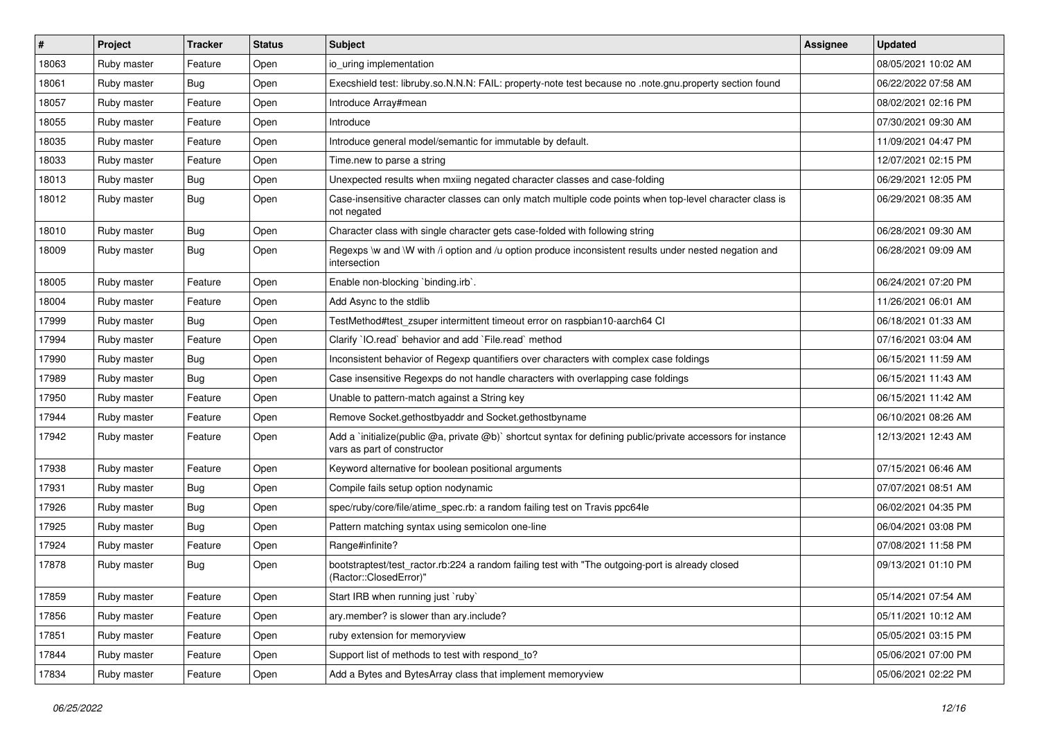| #     | Project     | <b>Tracker</b> | <b>Status</b> | <b>Subject</b>                                                                                                                              | Assignee | <b>Updated</b>      |
|-------|-------------|----------------|---------------|---------------------------------------------------------------------------------------------------------------------------------------------|----------|---------------------|
| 18063 | Ruby master | Feature        | Open          | io uring implementation                                                                                                                     |          | 08/05/2021 10:02 AM |
| 18061 | Ruby master | <b>Bug</b>     | Open          | Execshield test: libruby.so.N.N.N: FAIL: property-note test because no .note.gnu.property section found                                     |          | 06/22/2022 07:58 AM |
| 18057 | Ruby master | Feature        | Open          | Introduce Array#mean                                                                                                                        |          | 08/02/2021 02:16 PM |
| 18055 | Ruby master | Feature        | Open          | Introduce                                                                                                                                   |          | 07/30/2021 09:30 AM |
| 18035 | Ruby master | Feature        | Open          | Introduce general model/semantic for immutable by default.                                                                                  |          | 11/09/2021 04:47 PM |
| 18033 | Ruby master | Feature        | Open          | Time.new to parse a string                                                                                                                  |          | 12/07/2021 02:15 PM |
| 18013 | Ruby master | <b>Bug</b>     | Open          | Unexpected results when mxiing negated character classes and case-folding                                                                   |          | 06/29/2021 12:05 PM |
| 18012 | Ruby master | <b>Bug</b>     | Open          | Case-insensitive character classes can only match multiple code points when top-level character class is<br>not negated                     |          | 06/29/2021 08:35 AM |
| 18010 | Ruby master | <b>Bug</b>     | Open          | Character class with single character gets case-folded with following string                                                                |          | 06/28/2021 09:30 AM |
| 18009 | Ruby master | <b>Bug</b>     | Open          | Regexps \w and \W with /i option and /u option produce inconsistent results under nested negation and<br>intersection                       |          | 06/28/2021 09:09 AM |
| 18005 | Ruby master | Feature        | Open          | Enable non-blocking 'binding.irb'.                                                                                                          |          | 06/24/2021 07:20 PM |
| 18004 | Ruby master | Feature        | Open          | Add Async to the stdlib                                                                                                                     |          | 11/26/2021 06:01 AM |
| 17999 | Ruby master | <b>Bug</b>     | Open          | TestMethod#test_zsuper intermittent timeout error on raspbian10-aarch64 Cl                                                                  |          | 06/18/2021 01:33 AM |
| 17994 | Ruby master | Feature        | Open          | Clarify 'IO.read' behavior and add 'File.read' method                                                                                       |          | 07/16/2021 03:04 AM |
| 17990 | Ruby master | <b>Bug</b>     | Open          | Inconsistent behavior of Regexp quantifiers over characters with complex case foldings                                                      |          | 06/15/2021 11:59 AM |
| 17989 | Ruby master | <b>Bug</b>     | Open          | Case insensitive Regexps do not handle characters with overlapping case foldings                                                            |          | 06/15/2021 11:43 AM |
| 17950 | Ruby master | Feature        | Open          | Unable to pattern-match against a String key                                                                                                |          | 06/15/2021 11:42 AM |
| 17944 | Ruby master | Feature        | Open          | Remove Socket.gethostbyaddr and Socket.gethostbyname                                                                                        |          | 06/10/2021 08:26 AM |
| 17942 | Ruby master | Feature        | Open          | Add a `initialize(public @a, private @b)` shortcut syntax for defining public/private accessors for instance<br>vars as part of constructor |          | 12/13/2021 12:43 AM |
| 17938 | Ruby master | Feature        | Open          | Keyword alternative for boolean positional arguments                                                                                        |          | 07/15/2021 06:46 AM |
| 17931 | Ruby master | Bug            | Open          | Compile fails setup option nodynamic                                                                                                        |          | 07/07/2021 08:51 AM |
| 17926 | Ruby master | Bug            | Open          | spec/ruby/core/file/atime_spec.rb: a random failing test on Travis ppc64le                                                                  |          | 06/02/2021 04:35 PM |
| 17925 | Ruby master | <b>Bug</b>     | Open          | Pattern matching syntax using semicolon one-line                                                                                            |          | 06/04/2021 03:08 PM |
| 17924 | Ruby master | Feature        | Open          | Range#infinite?                                                                                                                             |          | 07/08/2021 11:58 PM |
| 17878 | Ruby master | <b>Bug</b>     | Open          | bootstraptest/test_ractor.rb:224 a random failing test with "The outgoing-port is already closed<br>(Ractor::ClosedError)"                  |          | 09/13/2021 01:10 PM |
| 17859 | Ruby master | Feature        | Open          | Start IRB when running just `ruby`                                                                                                          |          | 05/14/2021 07:54 AM |
| 17856 | Ruby master | Feature        | Open          | ary.member? is slower than ary.include?                                                                                                     |          | 05/11/2021 10:12 AM |
| 17851 | Ruby master | Feature        | Open          | ruby extension for memoryview                                                                                                               |          | 05/05/2021 03:15 PM |
| 17844 | Ruby master | Feature        | Open          | Support list of methods to test with respond_to?                                                                                            |          | 05/06/2021 07:00 PM |
| 17834 | Ruby master | Feature        | Open          | Add a Bytes and BytesArray class that implement memoryview                                                                                  |          | 05/06/2021 02:22 PM |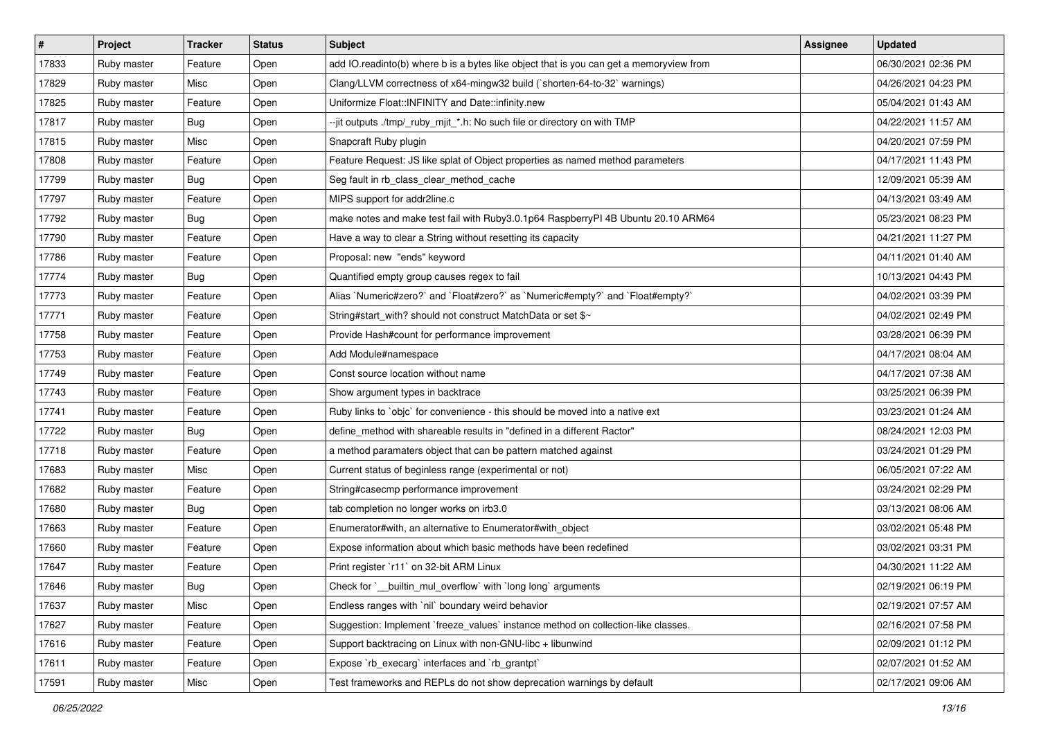| #     | Project     | <b>Tracker</b> | <b>Status</b> | <b>Subject</b>                                                                          | <b>Assignee</b> | <b>Updated</b>      |
|-------|-------------|----------------|---------------|-----------------------------------------------------------------------------------------|-----------------|---------------------|
| 17833 | Ruby master | Feature        | Open          | add IO.readinto(b) where b is a bytes like object that is you can get a memoryview from |                 | 06/30/2021 02:36 PM |
| 17829 | Ruby master | Misc           | Open          | Clang/LLVM correctness of x64-mingw32 build (`shorten-64-to-32` warnings)               |                 | 04/26/2021 04:23 PM |
| 17825 | Ruby master | Feature        | Open          | Uniformize Float::INFINITY and Date::infinity.new                                       |                 | 05/04/2021 01:43 AM |
| 17817 | Ruby master | Bug            | Open          | --jit outputs ./tmp/_ruby_mjit_*.h: No such file or directory on with TMP               |                 | 04/22/2021 11:57 AM |
| 17815 | Ruby master | Misc           | Open          | Snapcraft Ruby plugin                                                                   |                 | 04/20/2021 07:59 PM |
| 17808 | Ruby master | Feature        | Open          | Feature Request: JS like splat of Object properties as named method parameters          |                 | 04/17/2021 11:43 PM |
| 17799 | Ruby master | Bug            | Open          | Seg fault in rb_class_clear_method_cache                                                |                 | 12/09/2021 05:39 AM |
| 17797 | Ruby master | Feature        | Open          | MIPS support for addr2line.c                                                            |                 | 04/13/2021 03:49 AM |
| 17792 | Ruby master | <b>Bug</b>     | Open          | make notes and make test fail with Ruby3.0.1p64 RaspberryPI 4B Ubuntu 20.10 ARM64       |                 | 05/23/2021 08:23 PM |
| 17790 | Ruby master | Feature        | Open          | Have a way to clear a String without resetting its capacity                             |                 | 04/21/2021 11:27 PM |
| 17786 | Ruby master | Feature        | Open          | Proposal: new "ends" keyword                                                            |                 | 04/11/2021 01:40 AM |
| 17774 | Ruby master | Bug            | Open          | Quantified empty group causes regex to fail                                             |                 | 10/13/2021 04:43 PM |
| 17773 | Ruby master | Feature        | Open          | Alias `Numeric#zero?` and `Float#zero?` as `Numeric#empty?` and `Float#empty?`          |                 | 04/02/2021 03:39 PM |
| 17771 | Ruby master | Feature        | Open          | String#start with? should not construct MatchData or set \$~                            |                 | 04/02/2021 02:49 PM |
| 17758 | Ruby master | Feature        | Open          | Provide Hash#count for performance improvement                                          |                 | 03/28/2021 06:39 PM |
| 17753 | Ruby master | Feature        | Open          | Add Module#namespace                                                                    |                 | 04/17/2021 08:04 AM |
| 17749 | Ruby master | Feature        | Open          | Const source location without name                                                      |                 | 04/17/2021 07:38 AM |
| 17743 | Ruby master | Feature        | Open          | Show argument types in backtrace                                                        |                 | 03/25/2021 06:39 PM |
| 17741 | Ruby master | Feature        | Open          | Ruby links to `objc` for convenience - this should be moved into a native ext           |                 | 03/23/2021 01:24 AM |
| 17722 | Ruby master | <b>Bug</b>     | Open          | define_method with shareable results in "defined in a different Ractor"                 |                 | 08/24/2021 12:03 PM |
| 17718 | Ruby master | Feature        | Open          | a method paramaters object that can be pattern matched against                          |                 | 03/24/2021 01:29 PM |
| 17683 | Ruby master | Misc           | Open          | Current status of beginless range (experimental or not)                                 |                 | 06/05/2021 07:22 AM |
| 17682 | Ruby master | Feature        | Open          | String#casecmp performance improvement                                                  |                 | 03/24/2021 02:29 PM |
| 17680 | Ruby master | <b>Bug</b>     | Open          | tab completion no longer works on irb3.0                                                |                 | 03/13/2021 08:06 AM |
| 17663 | Ruby master | Feature        | Open          | Enumerator#with, an alternative to Enumerator#with_object                               |                 | 03/02/2021 05:48 PM |
| 17660 | Ruby master | Feature        | Open          | Expose information about which basic methods have been redefined                        |                 | 03/02/2021 03:31 PM |
| 17647 | Ruby master | Feature        | Open          | Print register 'r11' on 32-bit ARM Linux                                                |                 | 04/30/2021 11:22 AM |
| 17646 | Ruby master | <b>Bug</b>     | Open          | Check for `__builtin_mul_overflow` with `long long` arguments                           |                 | 02/19/2021 06:19 PM |
| 17637 | Ruby master | Misc           | Open          | Endless ranges with `nil` boundary weird behavior                                       |                 | 02/19/2021 07:57 AM |
| 17627 | Ruby master | Feature        | Open          | Suggestion: Implement `freeze_values` instance method on collection-like classes.       |                 | 02/16/2021 07:58 PM |
| 17616 | Ruby master | Feature        | Open          | Support backtracing on Linux with non-GNU-libc + libunwind                              |                 | 02/09/2021 01:12 PM |
| 17611 | Ruby master | Feature        | Open          | Expose `rb_execarg` interfaces and `rb_grantpt`                                         |                 | 02/07/2021 01:52 AM |
| 17591 | Ruby master | Misc           | Open          | Test frameworks and REPLs do not show deprecation warnings by default                   |                 | 02/17/2021 09:06 AM |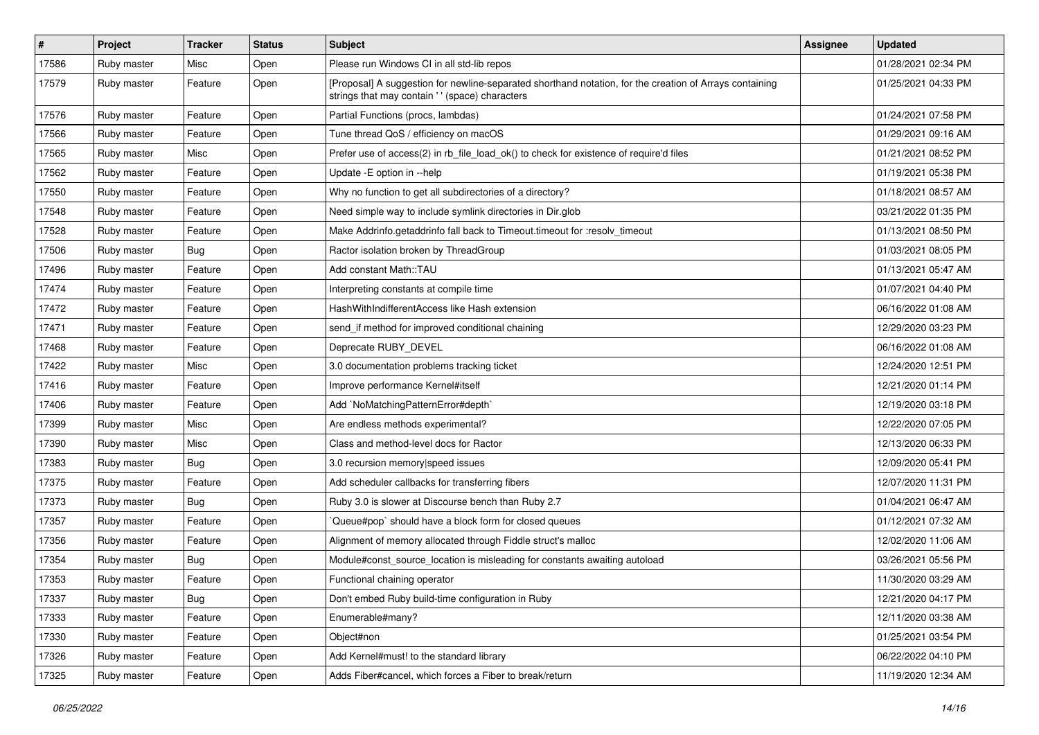| $\vert$ # | Project     | <b>Tracker</b> | <b>Status</b> | <b>Subject</b>                                                                                                                                            | Assignee | <b>Updated</b>      |
|-----------|-------------|----------------|---------------|-----------------------------------------------------------------------------------------------------------------------------------------------------------|----------|---------------------|
| 17586     | Ruby master | Misc           | Open          | Please run Windows CI in all std-lib repos                                                                                                                |          | 01/28/2021 02:34 PM |
| 17579     | Ruby master | Feature        | Open          | [Proposal] A suggestion for newline-separated shorthand notation, for the creation of Arrays containing<br>strings that may contain '' (space) characters |          | 01/25/2021 04:33 PM |
| 17576     | Ruby master | Feature        | Open          | Partial Functions (procs, lambdas)                                                                                                                        |          | 01/24/2021 07:58 PM |
| 17566     | Ruby master | Feature        | Open          | Tune thread QoS / efficiency on macOS                                                                                                                     |          | 01/29/2021 09:16 AM |
| 17565     | Ruby master | Misc           | Open          | Prefer use of access(2) in rb file load ok() to check for existence of require'd files                                                                    |          | 01/21/2021 08:52 PM |
| 17562     | Ruby master | Feature        | Open          | Update -E option in --help                                                                                                                                |          | 01/19/2021 05:38 PM |
| 17550     | Ruby master | Feature        | Open          | Why no function to get all subdirectories of a directory?                                                                                                 |          | 01/18/2021 08:57 AM |
| 17548     | Ruby master | Feature        | Open          | Need simple way to include symlink directories in Dir.glob                                                                                                |          | 03/21/2022 01:35 PM |
| 17528     | Ruby master | Feature        | Open          | Make Addrinfo.getaddrinfo fall back to Timeout.timeout for :resolv_timeout                                                                                |          | 01/13/2021 08:50 PM |
| 17506     | Ruby master | <b>Bug</b>     | Open          | Ractor isolation broken by ThreadGroup                                                                                                                    |          | 01/03/2021 08:05 PM |
| 17496     | Ruby master | Feature        | Open          | Add constant Math::TAU                                                                                                                                    |          | 01/13/2021 05:47 AM |
| 17474     | Ruby master | Feature        | Open          | Interpreting constants at compile time                                                                                                                    |          | 01/07/2021 04:40 PM |
| 17472     | Ruby master | Feature        | Open          | HashWithIndifferentAccess like Hash extension                                                                                                             |          | 06/16/2022 01:08 AM |
| 17471     | Ruby master | Feature        | Open          | send_if method for improved conditional chaining                                                                                                          |          | 12/29/2020 03:23 PM |
| 17468     | Ruby master | Feature        | Open          | Deprecate RUBY_DEVEL                                                                                                                                      |          | 06/16/2022 01:08 AM |
| 17422     | Ruby master | Misc           | Open          | 3.0 documentation problems tracking ticket                                                                                                                |          | 12/24/2020 12:51 PM |
| 17416     | Ruby master | Feature        | Open          | Improve performance Kernel#itself                                                                                                                         |          | 12/21/2020 01:14 PM |
| 17406     | Ruby master | Feature        | Open          | Add `NoMatchingPatternError#depth`                                                                                                                        |          | 12/19/2020 03:18 PM |
| 17399     | Ruby master | Misc           | Open          | Are endless methods experimental?                                                                                                                         |          | 12/22/2020 07:05 PM |
| 17390     | Ruby master | Misc           | Open          | Class and method-level docs for Ractor                                                                                                                    |          | 12/13/2020 06:33 PM |
| 17383     | Ruby master | Bug            | Open          | 3.0 recursion memory speed issues                                                                                                                         |          | 12/09/2020 05:41 PM |
| 17375     | Ruby master | Feature        | Open          | Add scheduler callbacks for transferring fibers                                                                                                           |          | 12/07/2020 11:31 PM |
| 17373     | Ruby master | <b>Bug</b>     | Open          | Ruby 3.0 is slower at Discourse bench than Ruby 2.7                                                                                                       |          | 01/04/2021 06:47 AM |
| 17357     | Ruby master | Feature        | Open          | Queue#pop`should have a block form for closed queues                                                                                                      |          | 01/12/2021 07:32 AM |
| 17356     | Ruby master | Feature        | Open          | Alignment of memory allocated through Fiddle struct's malloc                                                                                              |          | 12/02/2020 11:06 AM |
| 17354     | Ruby master | Bug            | Open          | Module#const_source_location is misleading for constants awaiting autoload                                                                                |          | 03/26/2021 05:56 PM |
| 17353     | Ruby master | Feature        | Open          | Functional chaining operator                                                                                                                              |          | 11/30/2020 03:29 AM |
| 17337     | Ruby master | Bug            | Open          | Don't embed Ruby build-time configuration in Ruby                                                                                                         |          | 12/21/2020 04:17 PM |
| 17333     | Ruby master | Feature        | Open          | Enumerable#many?                                                                                                                                          |          | 12/11/2020 03:38 AM |
| 17330     | Ruby master | Feature        | Open          | Object#non                                                                                                                                                |          | 01/25/2021 03:54 PM |
| 17326     | Ruby master | Feature        | Open          | Add Kernel#must! to the standard library                                                                                                                  |          | 06/22/2022 04:10 PM |
| 17325     | Ruby master | Feature        | Open          | Adds Fiber#cancel, which forces a Fiber to break/return                                                                                                   |          | 11/19/2020 12:34 AM |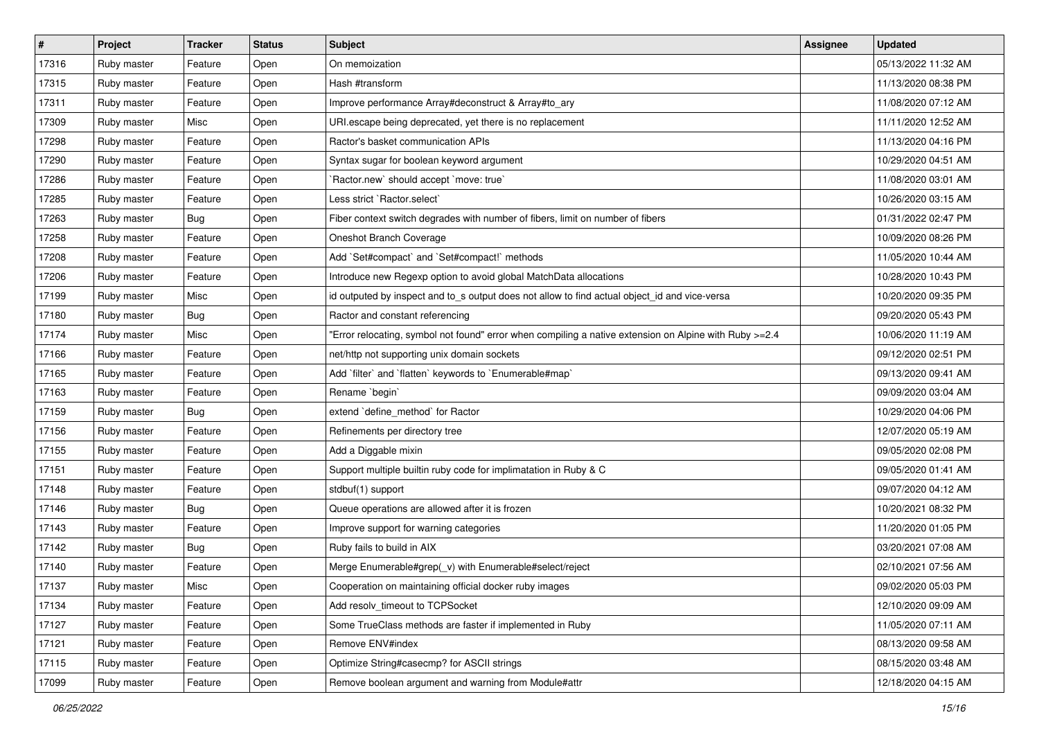| $\vert$ # | Project     | <b>Tracker</b> | <b>Status</b> | <b>Subject</b>                                                                                         | Assignee | <b>Updated</b>      |
|-----------|-------------|----------------|---------------|--------------------------------------------------------------------------------------------------------|----------|---------------------|
| 17316     | Ruby master | Feature        | Open          | On memoization                                                                                         |          | 05/13/2022 11:32 AM |
| 17315     | Ruby master | Feature        | Open          | Hash #transform                                                                                        |          | 11/13/2020 08:38 PM |
| 17311     | Ruby master | Feature        | Open          | Improve performance Array#deconstruct & Array#to_ary                                                   |          | 11/08/2020 07:12 AM |
| 17309     | Ruby master | Misc           | Open          | URI escape being deprecated, yet there is no replacement                                               |          | 11/11/2020 12:52 AM |
| 17298     | Ruby master | Feature        | Open          | Ractor's basket communication APIs                                                                     |          | 11/13/2020 04:16 PM |
| 17290     | Ruby master | Feature        | Open          | Syntax sugar for boolean keyword argument                                                              |          | 10/29/2020 04:51 AM |
| 17286     | Ruby master | Feature        | Open          | 'Ractor.new' should accept 'move: true'                                                                |          | 11/08/2020 03:01 AM |
| 17285     | Ruby master | Feature        | Open          | Less strict `Ractor.select`                                                                            |          | 10/26/2020 03:15 AM |
| 17263     | Ruby master | Bug            | Open          | Fiber context switch degrades with number of fibers, limit on number of fibers                         |          | 01/31/2022 02:47 PM |
| 17258     | Ruby master | Feature        | Open          | Oneshot Branch Coverage                                                                                |          | 10/09/2020 08:26 PM |
| 17208     | Ruby master | Feature        | Open          | Add `Set#compact` and `Set#compact!` methods                                                           |          | 11/05/2020 10:44 AM |
| 17206     | Ruby master | Feature        | Open          | Introduce new Regexp option to avoid global MatchData allocations                                      |          | 10/28/2020 10:43 PM |
| 17199     | Ruby master | Misc           | Open          | id outputed by inspect and to_s output does not allow to find actual object_id and vice-versa          |          | 10/20/2020 09:35 PM |
| 17180     | Ruby master | Bug            | Open          | Ractor and constant referencing                                                                        |          | 09/20/2020 05:43 PM |
| 17174     | Ruby master | Misc           | Open          | Error relocating, symbol not found" error when compiling a native extension on Alpine with Ruby >=2.4" |          | 10/06/2020 11:19 AM |
| 17166     | Ruby master | Feature        | Open          | net/http not supporting unix domain sockets                                                            |          | 09/12/2020 02:51 PM |
| 17165     | Ruby master | Feature        | Open          | Add 'filter' and 'flatten' keywords to 'Enumerable#map'                                                |          | 09/13/2020 09:41 AM |
| 17163     | Ruby master | Feature        | Open          | Rename `begin`                                                                                         |          | 09/09/2020 03:04 AM |
| 17159     | Ruby master | Bug            | Open          | extend 'define_method' for Ractor                                                                      |          | 10/29/2020 04:06 PM |
| 17156     | Ruby master | Feature        | Open          | Refinements per directory tree                                                                         |          | 12/07/2020 05:19 AM |
| 17155     | Ruby master | Feature        | Open          | Add a Diggable mixin                                                                                   |          | 09/05/2020 02:08 PM |
| 17151     | Ruby master | Feature        | Open          | Support multiple builtin ruby code for implimatation in Ruby & C                                       |          | 09/05/2020 01:41 AM |
| 17148     | Ruby master | Feature        | Open          | stdbuf(1) support                                                                                      |          | 09/07/2020 04:12 AM |
| 17146     | Ruby master | Bug            | Open          | Queue operations are allowed after it is frozen                                                        |          | 10/20/2021 08:32 PM |
| 17143     | Ruby master | Feature        | Open          | Improve support for warning categories                                                                 |          | 11/20/2020 01:05 PM |
| 17142     | Ruby master | Bug            | Open          | Ruby fails to build in AIX                                                                             |          | 03/20/2021 07:08 AM |
| 17140     | Ruby master | Feature        | Open          | Merge Enumerable#grep(_v) with Enumerable#select/reject                                                |          | 02/10/2021 07:56 AM |
| 17137     | Ruby master | Misc           | Open          | Cooperation on maintaining official docker ruby images                                                 |          | 09/02/2020 05:03 PM |
| 17134     | Ruby master | Feature        | Open          | Add resolv timeout to TCPSocket                                                                        |          | 12/10/2020 09:09 AM |
| 17127     | Ruby master | Feature        | Open          | Some TrueClass methods are faster if implemented in Ruby                                               |          | 11/05/2020 07:11 AM |
| 17121     | Ruby master | Feature        | Open          | Remove ENV#index                                                                                       |          | 08/13/2020 09:58 AM |
| 17115     | Ruby master | Feature        | Open          | Optimize String#casecmp? for ASCII strings                                                             |          | 08/15/2020 03:48 AM |
| 17099     | Ruby master | Feature        | Open          | Remove boolean argument and warning from Module#attr                                                   |          | 12/18/2020 04:15 AM |